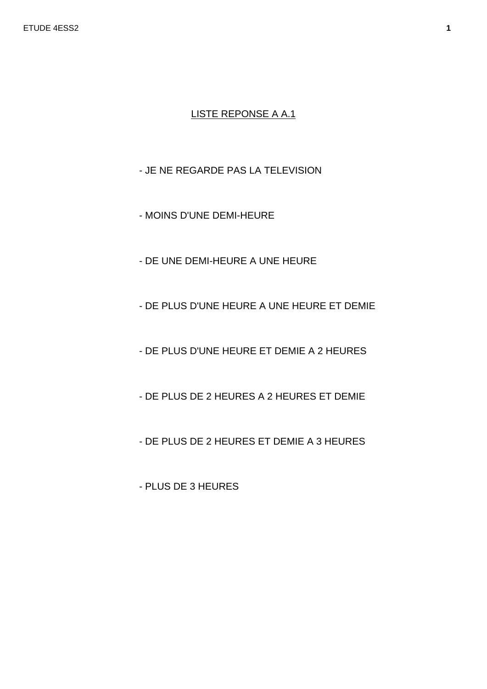- JE NE REGARDE PAS LA TELEVISION
- MOINS D'UNE DEMI-HEURE
- DE UNE DEMI-HEURE A UNE HEURE
- DE PLUS D'UNE HEURE A UNE HEURE ET DEMIE
- DE PLUS D'UNE HEURE ET DEMIE A 2 HEURES
- DE PLUS DE 2 HEURES A 2 HEURES ET DEMIE
- DE PLUS DE 2 HEURES ET DEMIE A 3 HEURES
- PLUS DE 3 HEURES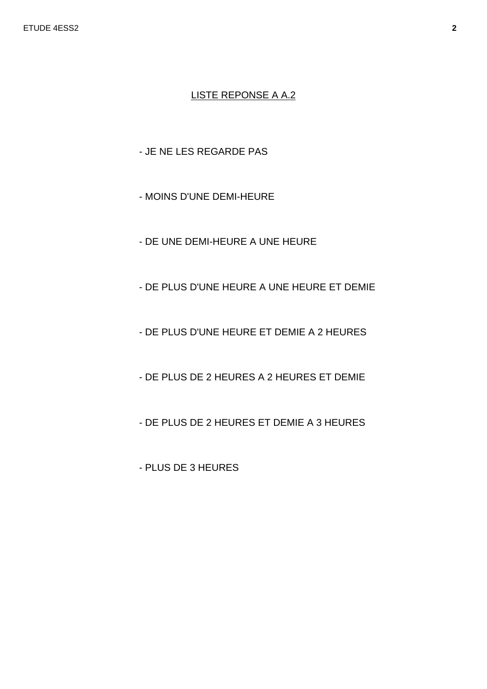- JE NE LES REGARDE PAS

- MOINS D'UNE DEMI-HEURE

- DE UNE DEMI-HEURE A UNE HEURE

- DE PLUS D'UNE HEURE A UNE HEURE ET DEMIE

- DE PLUS D'UNE HEURE ET DEMIE A 2 HEURES

- DE PLUS DE 2 HEURES A 2 HEURES ET DEMIE

- DE PLUS DE 2 HEURES ET DEMIE A 3 HEURES

- PLUS DE 3 HEURES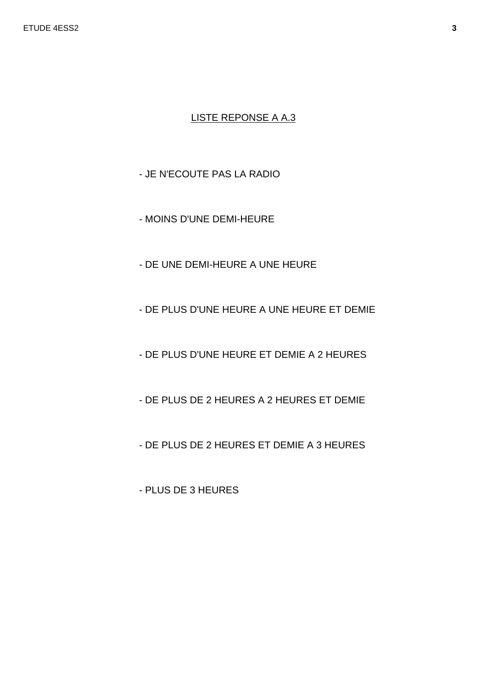- JE N'ECOUTE PAS LA RADIO
- MOINS D'UNE DEMI-HEURE
- DE UNE DEMI-HEURE A UNE HEURE
- DE PLUS D'UNE HEURE A UNE HEURE ET DEMIE
- DE PLUS D'UNE HEURE ET DEMIE A 2 HEURES
- DE PLUS DE 2 HEURES A 2 HEURES ET DEMIE
- DE PLUS DE 2 HEURES ET DEMIE A 3 HEURES
- PLUS DE 3 HEURES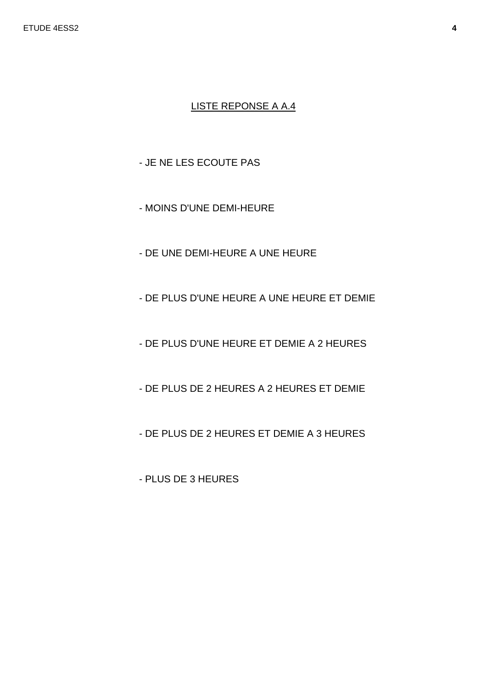- JE NE LES ECOUTE PAS

- MOINS D'UNE DEMI-HEURE

- DE UNE DEMI-HEURE A UNE HEURE

- DE PLUS D'UNE HEURE A UNE HEURE ET DEMIE

- DE PLUS D'UNE HEURE ET DEMIE A 2 HEURES

- DE PLUS DE 2 HEURES A 2 HEURES ET DEMIE

- DE PLUS DE 2 HEURES ET DEMIE A 3 HEURES

- PLUS DE 3 HEURES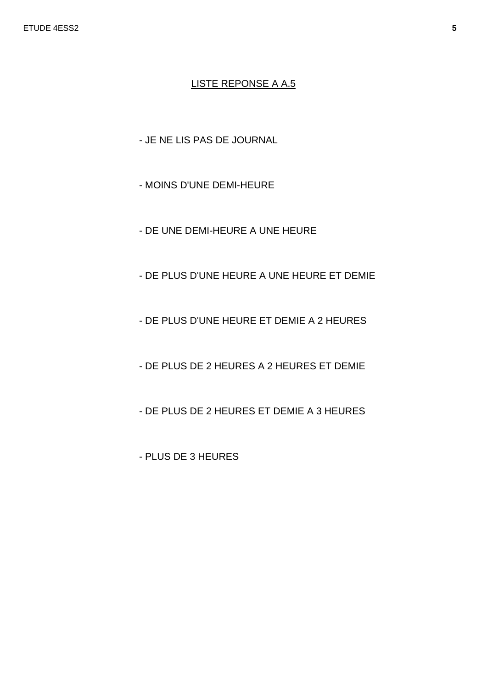- JE NE LIS PAS DE JOURNAL
- MOINS D'UNE DEMI-HEURE
- DE UNE DEMI-HEURE A UNE HEURE
- DE PLUS D'UNE HEURE A UNE HEURE ET DEMIE
- DE PLUS D'UNE HEURE ET DEMIE A 2 HEURES
- DE PLUS DE 2 HEURES A 2 HEURES ET DEMIE
- DE PLUS DE 2 HEURES ET DEMIE A 3 HEURES
- PLUS DE 3 HEURES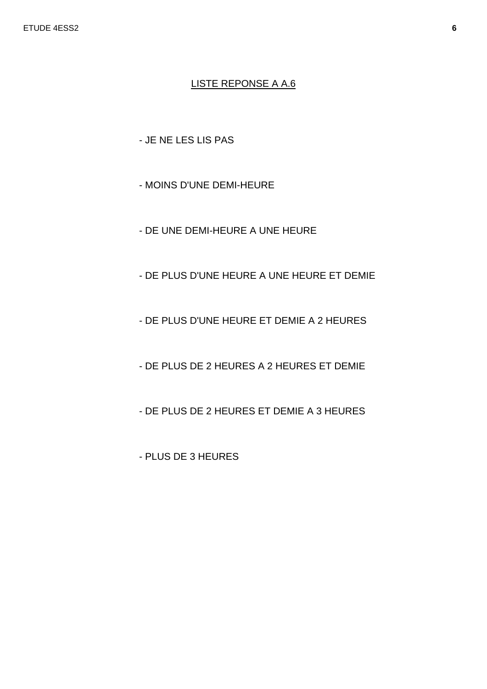- JE NE LES LIS PAS

- MOINS D'UNE DEMI-HEURE
- DE UNE DEMI-HEURE A UNE HEURE
- DE PLUS D'UNE HEURE A UNE HEURE ET DEMIE
- DE PLUS D'UNE HEURE ET DEMIE A 2 HEURES
- DE PLUS DE 2 HEURES A 2 HEURES ET DEMIE
- DE PLUS DE 2 HEURES ET DEMIE A 3 HEURES
- PLUS DE 3 HEURES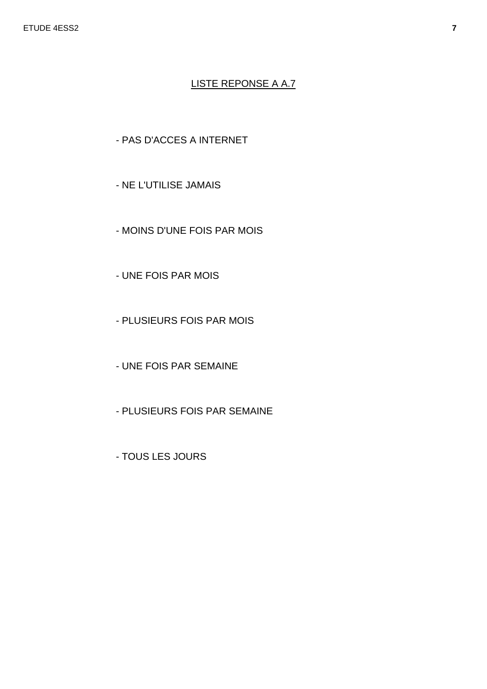- PAS D'ACCES A INTERNET
- NE L'UTILISE JAMAIS
- MOINS D'UNE FOIS PAR MOIS
- UNE FOIS PAR MOIS
- PLUSIEURS FOIS PAR MOIS
- UNE FOIS PAR SEMAINE
- PLUSIEURS FOIS PAR SEMAINE
- TOUS LES JOURS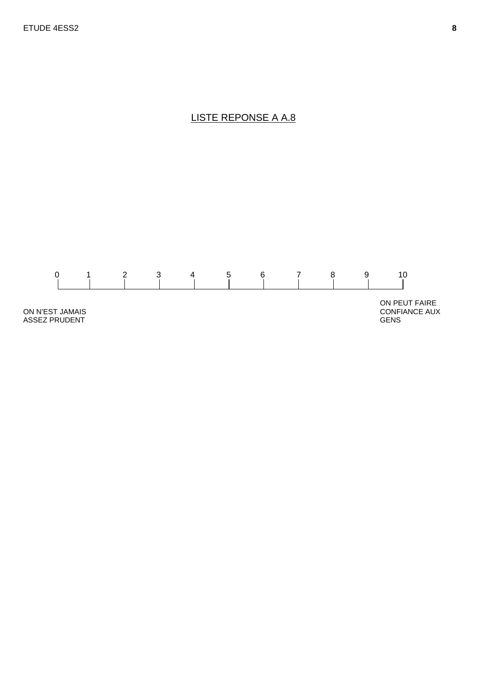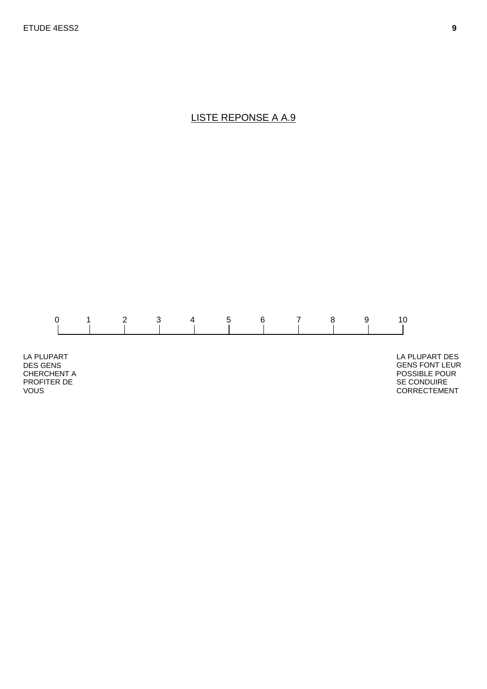

LA PLUPART DES GENS CHERCHENT A PROFITER DE VOUS

 LA PLUPART DES GENS FONT LEUR POSSIBLE POUR SE CONDUIRE CORRECTEMENT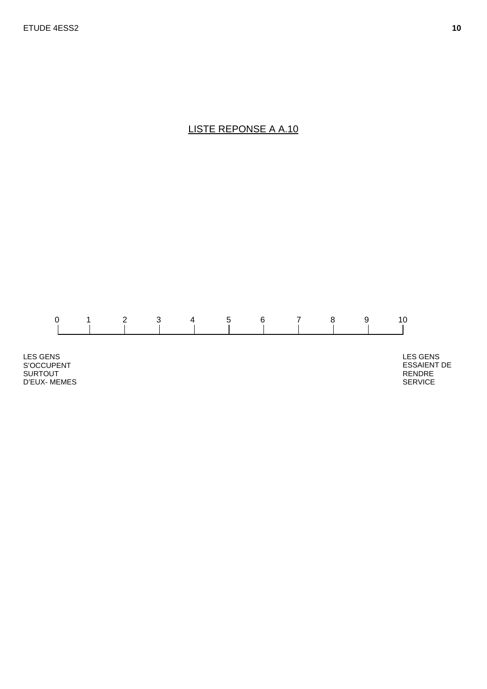

LES GENS S'OCCUPENT SURTOUT D'EUX- MEMES

 LES GENS ESSAIENT DE RENDRE **SERVICE**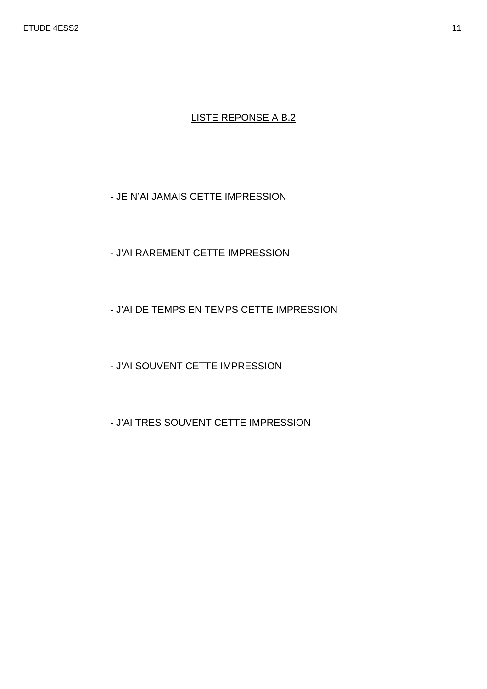#### - JE N'AI JAMAIS CETTE IMPRESSION

# - J'AI RAREMENT CETTE IMPRESSION

### - J'AI DE TEMPS EN TEMPS CETTE IMPRESSION

### - J'AI SOUVENT CETTE IMPRESSION

## - J'AI TRES SOUVENT CETTE IMPRESSION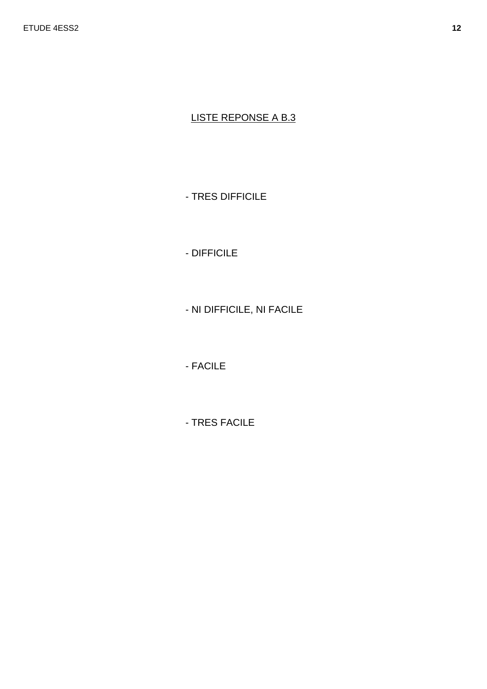- TRES DIFFICILE

- DIFFICILE

- NI DIFFICILE, NI FACILE

- FACILE

- TRES FACILE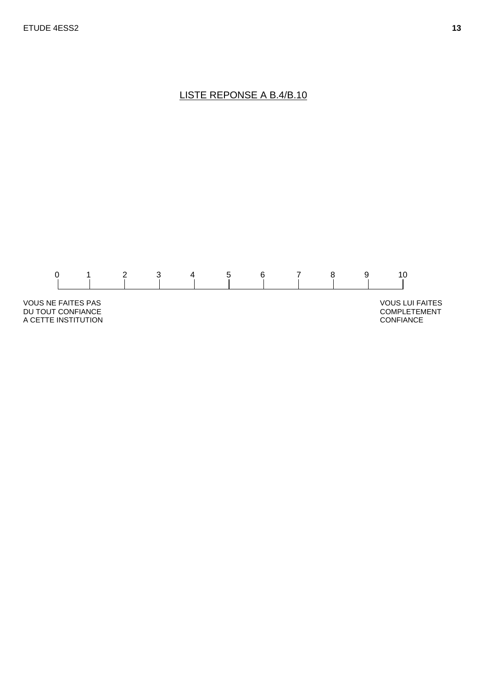LISTE REPONSE A B.4/B.10

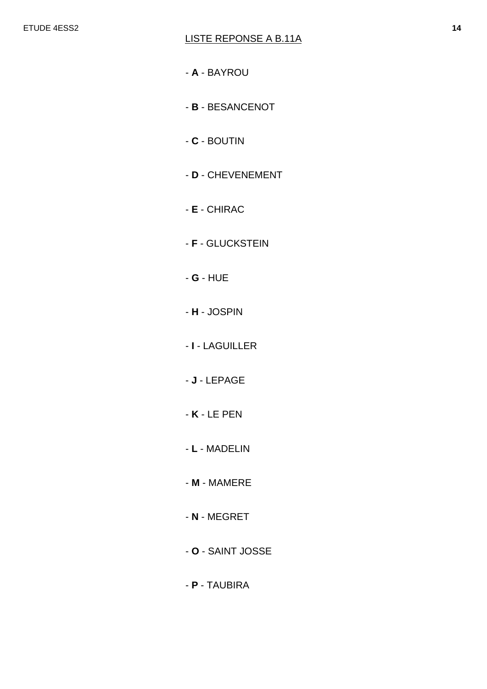- **A** BAYROU
- **B**  BESANCENOT
- **C**  BOUTIN
- **D** CHEVENEMENT
- **E** CHIRAC
- **F**  GLUCKSTEIN
- **G** HUE
- **H**  JOSPIN
- **I** LAGUILLER
- **J** LEPAGE
- **K** LE PEN
- **L** MADELIN
- **M** MAMERE
- **N** MEGRET
- **O** SAINT JOSSE
- **P** TAUBIRA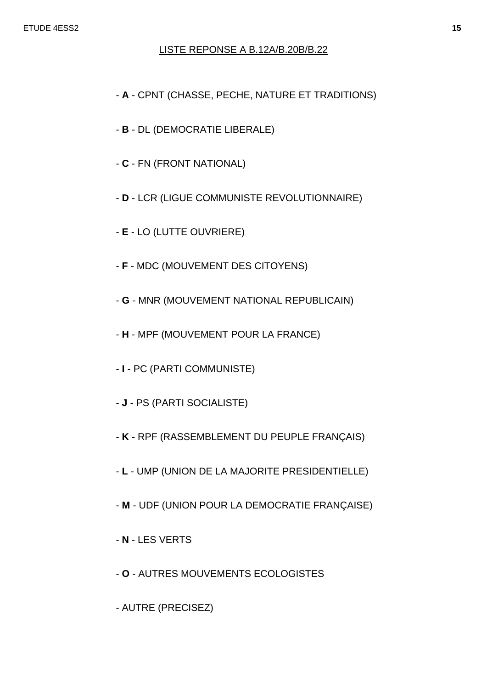### LISTE REPONSE A B.12A/B.20B/B.22

- **A** CPNT (CHASSE, PECHE, NATURE ET TRADITIONS)
- **B** DL (DEMOCRATIE LIBERALE)
- **C** FN (FRONT NATIONAL)
- **D** LCR (LIGUE COMMUNISTE REVOLUTIONNAIRE)
- **E** LO (LUTTE OUVRIERE)
- **F** MDC (MOUVEMENT DES CITOYENS)
- **G** MNR (MOUVEMENT NATIONAL REPUBLICAIN)
- **H** MPF (MOUVEMENT POUR LA FRANCE)
- **I** PC (PARTI COMMUNISTE)
- **J** PS (PARTI SOCIALISTE)
- **K** RPF (RASSEMBLEMENT DU PEUPLE FRANÇAIS)
- **L** UMP (UNION DE LA MAJORITE PRESIDENTIELLE)
- **M** UDF (UNION POUR LA DEMOCRATIE FRANÇAISE)
- **N** LES VERTS
- **O** AUTRES MOUVEMENTS ECOLOGISTES
- AUTRE (PRECISEZ)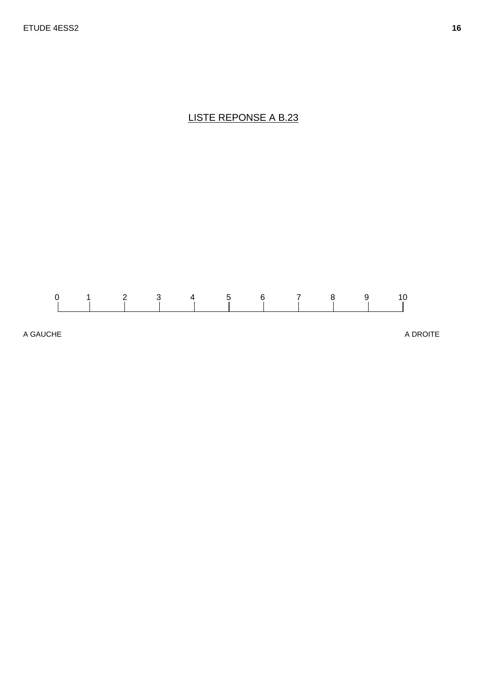

A GAUCHE

A DROITE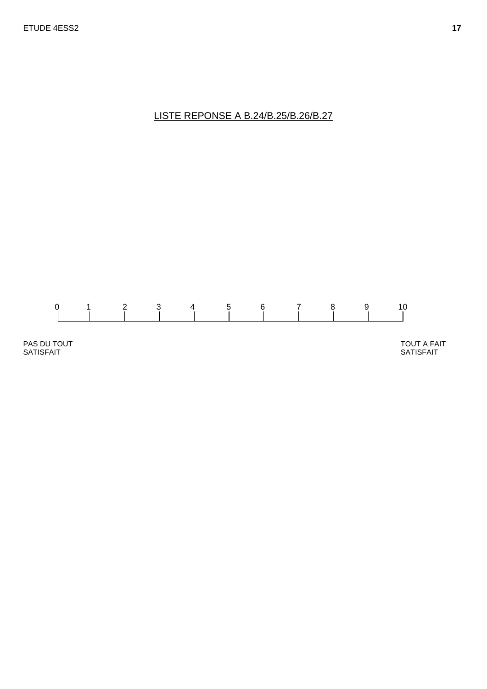LISTE REPONSE A B.24/B.25/B.26/B.27



PAS DU TOUT SATISFAIT

 TOUT A FAIT SATISFAIT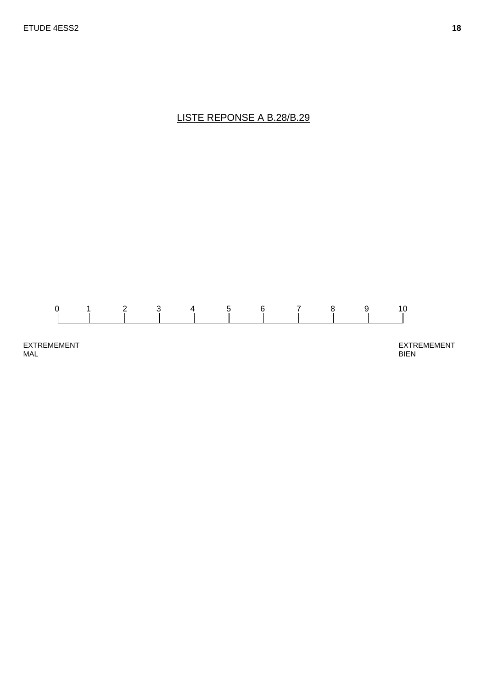LISTE REPONSE A B.28/B.29



EXTREMEMENT MAL

 EXTREMEMENT BIEN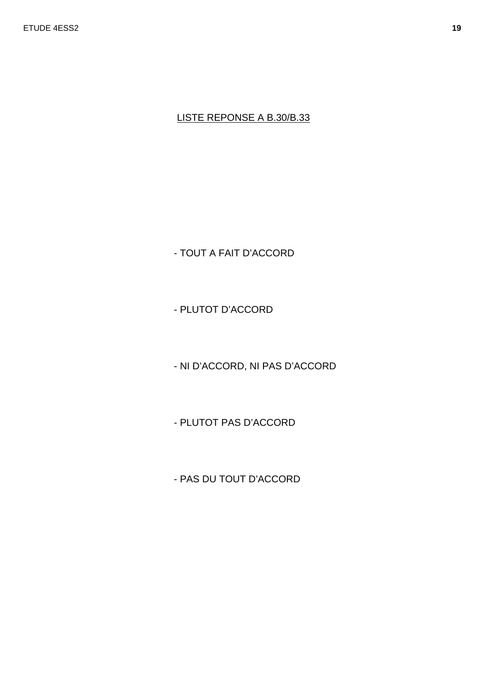LISTE REPONSE A B.30/B.33

- TOUT A FAIT D'ACCORD

- PLUTOT D'ACCORD

- NI D'ACCORD, NI PAS D'ACCORD

- PLUTOT PAS D'ACCORD

- PAS DU TOUT D'ACCORD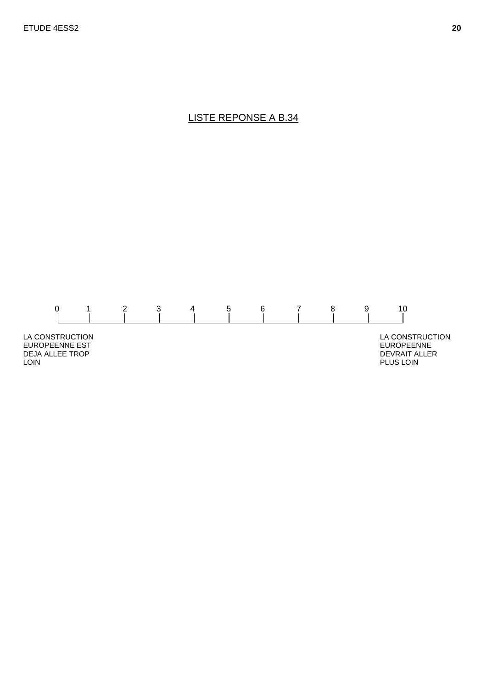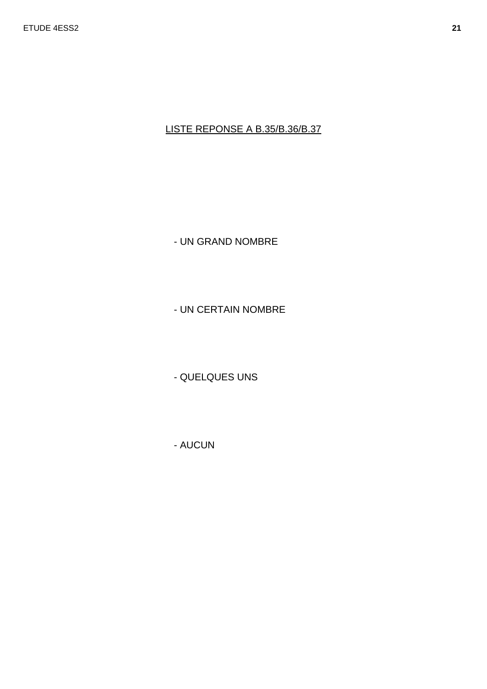LISTE REPONSE A B.35/B.36/B.37

- UN GRAND NOMBRE

- UN CERTAIN NOMBRE

- QUELQUES UNS

- AUCUN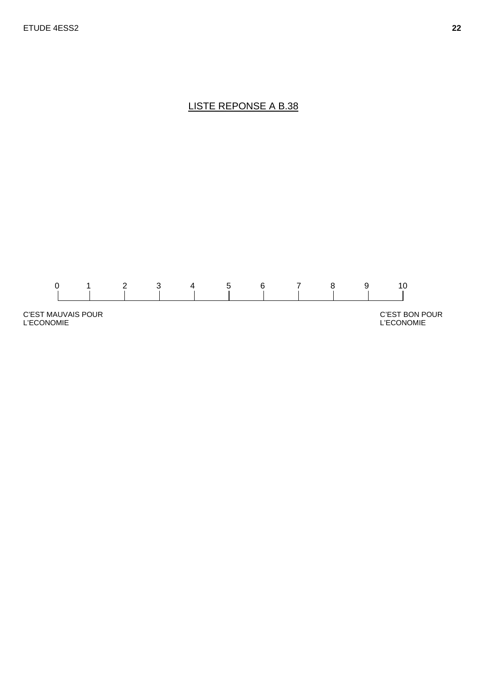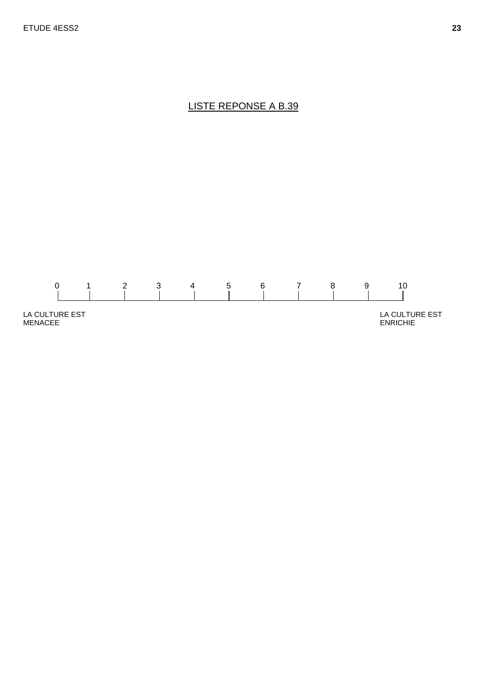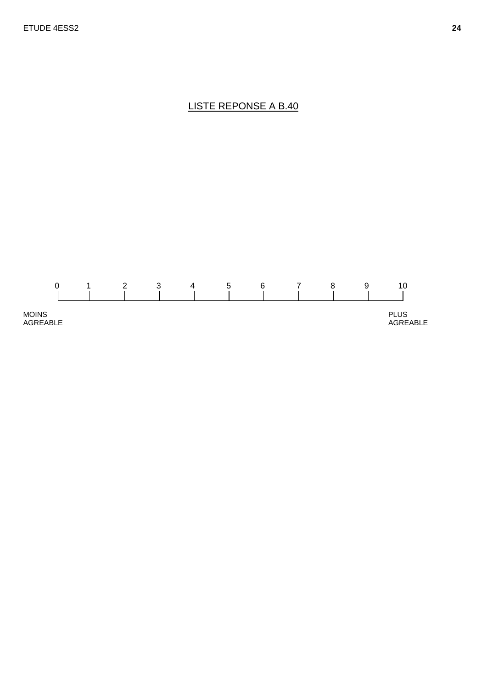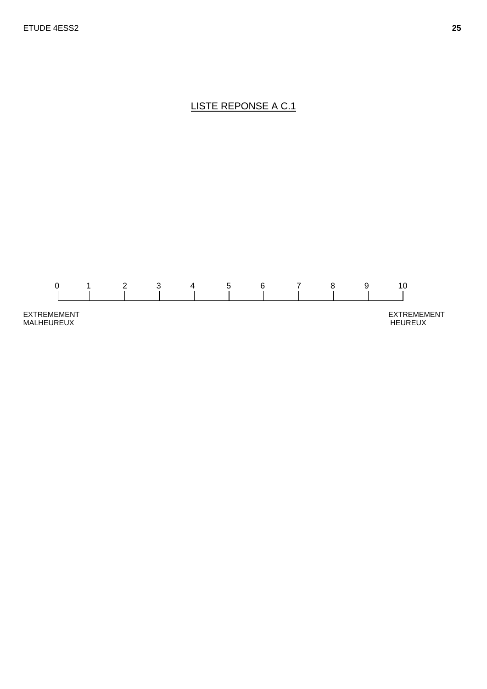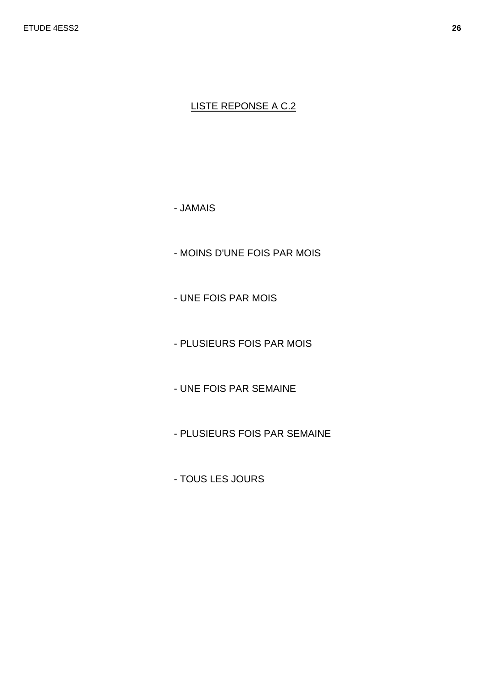- JAMAIS

- MOINS D'UNE FOIS PAR MOIS

- UNE FOIS PAR MOIS

- PLUSIEURS FOIS PAR MOIS

- UNE FOIS PAR SEMAINE

- PLUSIEURS FOIS PAR SEMAINE

- TOUS LES JOURS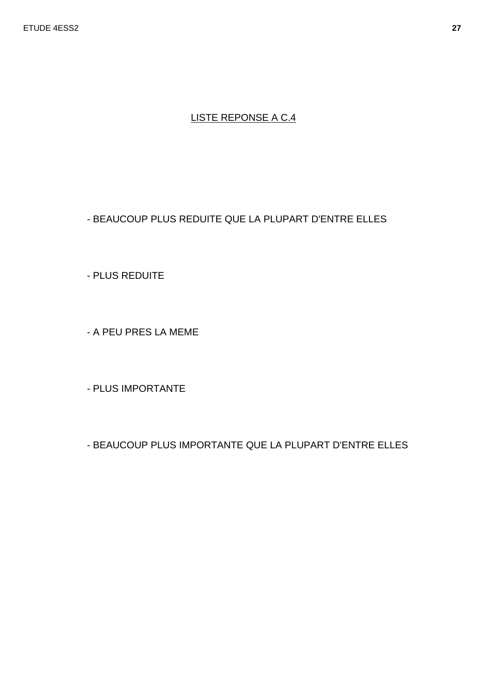#### - BEAUCOUP PLUS REDUITE QUE LA PLUPART D'ENTRE ELLES

- PLUS REDUITE

- A PEU PRES LA MEME

- PLUS IMPORTANTE

- BEAUCOUP PLUS IMPORTANTE QUE LA PLUPART D'ENTRE ELLES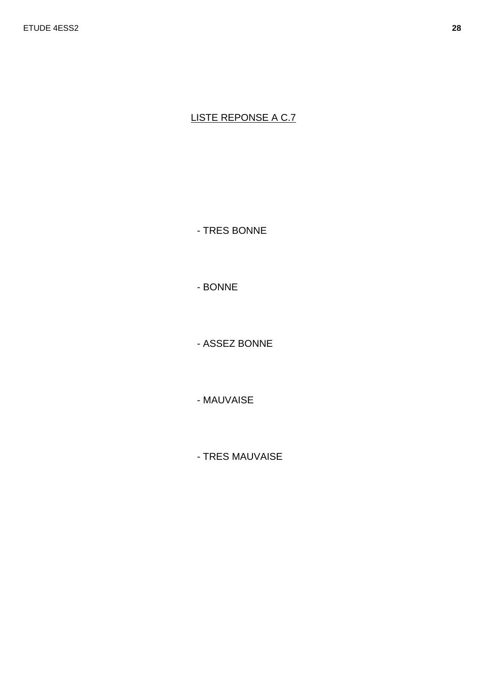- TRES BONNE

- BONNE

- ASSEZ BONNE

- MAUVAISE

- TRES MAUVAISE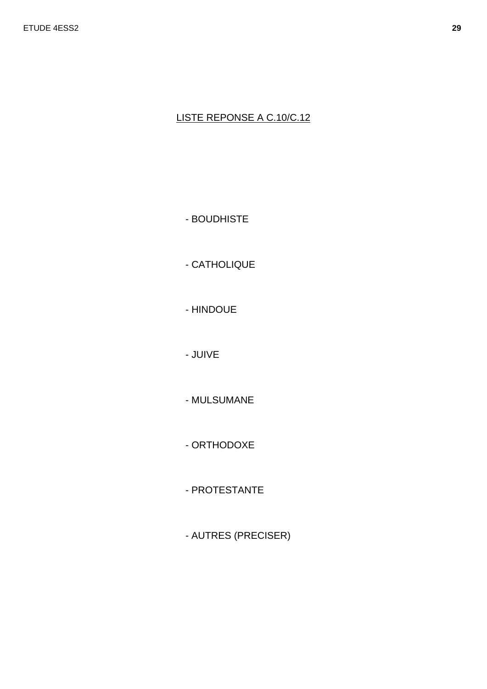LISTE REPONSE A C.10/C.12

- BOUDHISTE

- CATHOLIQUE

- HINDOUE

- JUIVE

- MULSUMANE

- ORTHODOXE

- PROTESTANTE

- AUTRES (PRECISER)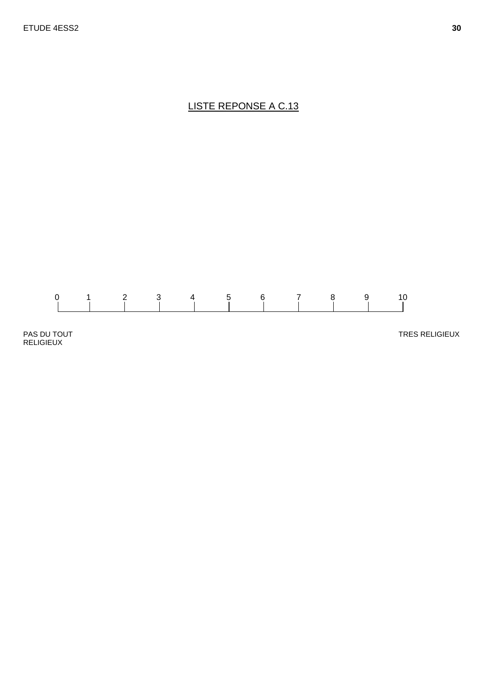

PAS DU TOUT RELIGIEUX

TRES RELIGIEUX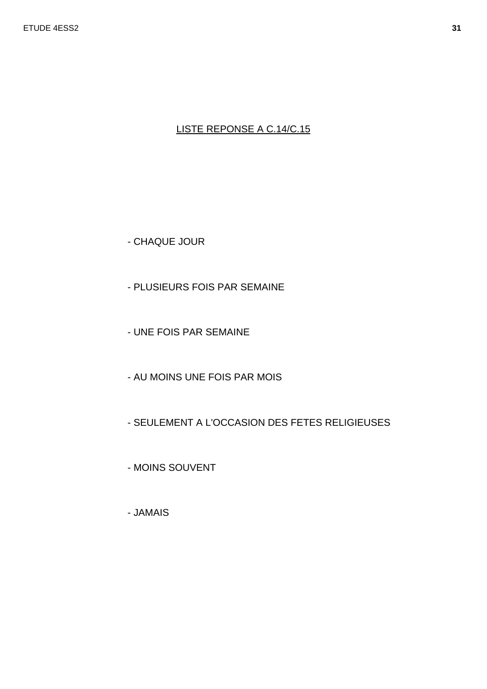### LISTE REPONSE A C.14/C.15

- CHAQUE JOUR

- PLUSIEURS FOIS PAR SEMAINE
- UNE FOIS PAR SEMAINE
- AU MOINS UNE FOIS PAR MOIS
- SEULEMENT A L'OCCASION DES FETES RELIGIEUSES
- MOINS SOUVENT
- JAMAIS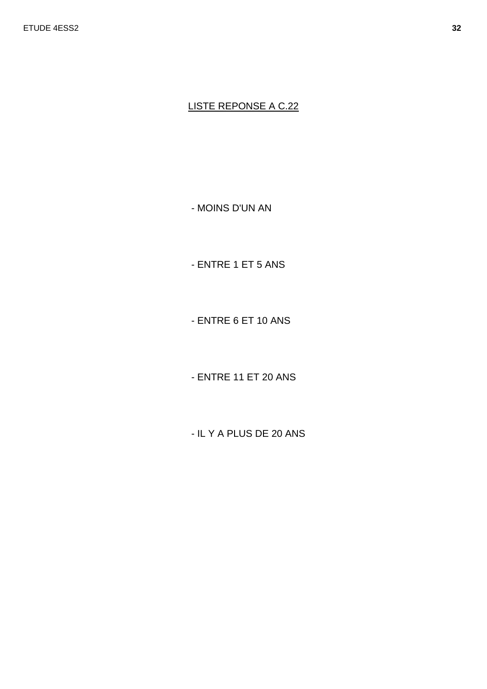- MOINS D'UN AN

- ENTRE 1 ET 5 ANS

- ENTRE 6 ET 10 ANS

- ENTRE 11 ET 20 ANS

- IL Y A PLUS DE 20 ANS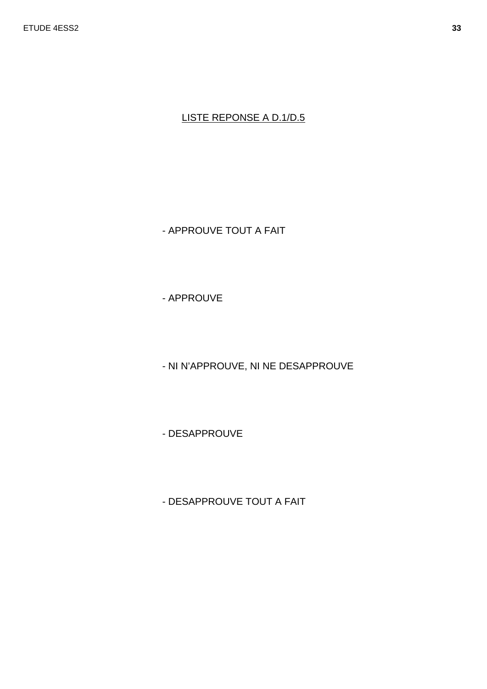LISTE REPONSE A D.1/D.5

- APPROUVE TOUT A FAIT

- APPROUVE

- NI N'APPROUVE, NI NE DESAPPROUVE

- DESAPPROUVE

- DESAPPROUVE TOUT A FAIT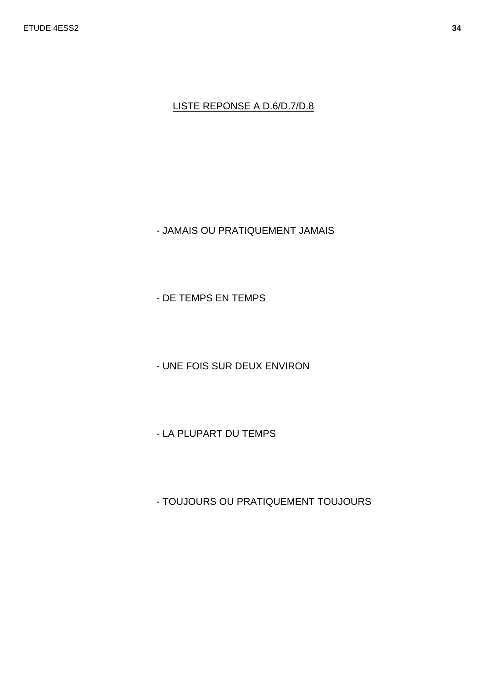LISTE REPONSE A D.6/D.7/D.8

- JAMAIS OU PRATIQUEMENT JAMAIS

- DE TEMPS EN TEMPS

- UNE FOIS SUR DEUX ENVIRON

- LA PLUPART DU TEMPS

- TOUJOURS OU PRATIQUEMENT TOUJOURS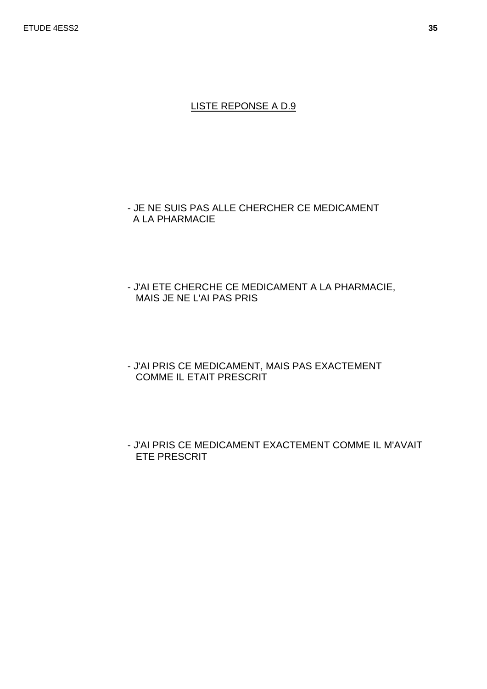#### - JE NE SUIS PAS ALLE CHERCHER CE MEDICAMENT A LA PHARMACIE

#### - J'AI ETE CHERCHE CE MEDICAMENT A LA PHARMACIE, MAIS JE NE L'AI PAS PRIS

#### - J'AI PRIS CE MEDICAMENT, MAIS PAS EXACTEMENT COMME IL ETAIT PRESCRIT

#### - J'AI PRIS CE MEDICAMENT EXACTEMENT COMME IL M'AVAIT ETE PRESCRIT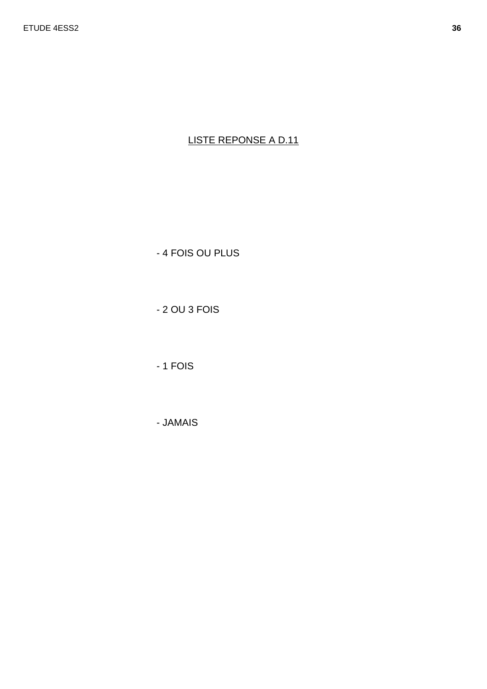- 4 FOIS OU PLUS

- 2 OU 3 FOIS

- 1 FOIS

- JAMAIS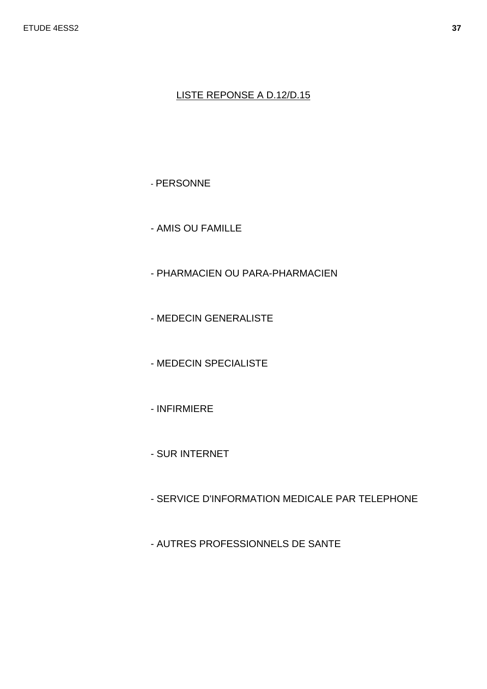### LISTE REPONSE A D.12/D.15

- PERSONNE

- AMIS OU FAMILLE

- PHARMACIEN OU PARA-PHARMACIEN

- MEDECIN GENERALISTE

- MEDECIN SPECIALISTE

- INFIRMIERE

- SUR INTERNET

- SERVICE D'INFORMATION MEDICALE PAR TELEPHONE

- AUTRES PROFESSIONNELS DE SANTE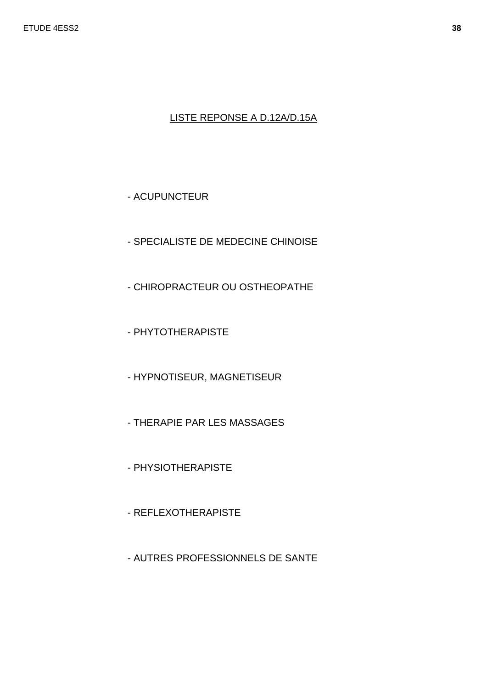### LISTE REPONSE A D.12A/D.15A

### - ACUPUNCTEUR

- SPECIALISTE DE MEDECINE CHINOISE
- CHIROPRACTEUR OU OSTHEOPATHE
- PHYTOTHERAPISTE
- HYPNOTISEUR, MAGNETISEUR
- THERAPIE PAR LES MASSAGES
- PHYSIOTHERAPISTE
- REFLEXOTHERAPISTE
- AUTRES PROFESSIONNELS DE SANTE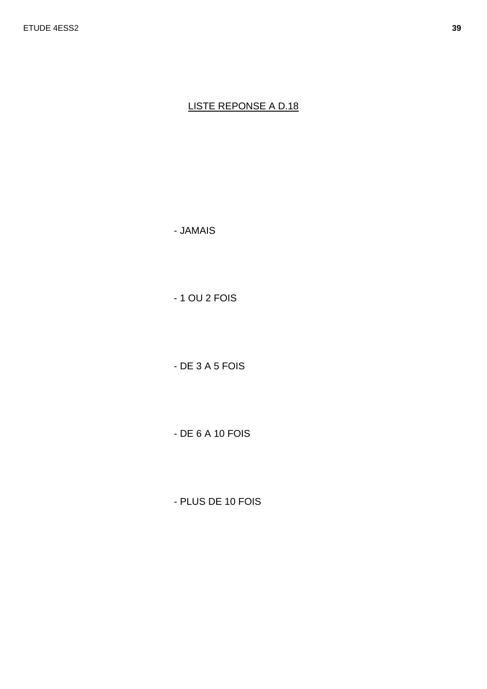- JAMAIS

- 1 OU 2 FOIS

- DE 3 A 5 FOIS

- DE 6 A 10 FOIS

- PLUS DE 10 FOIS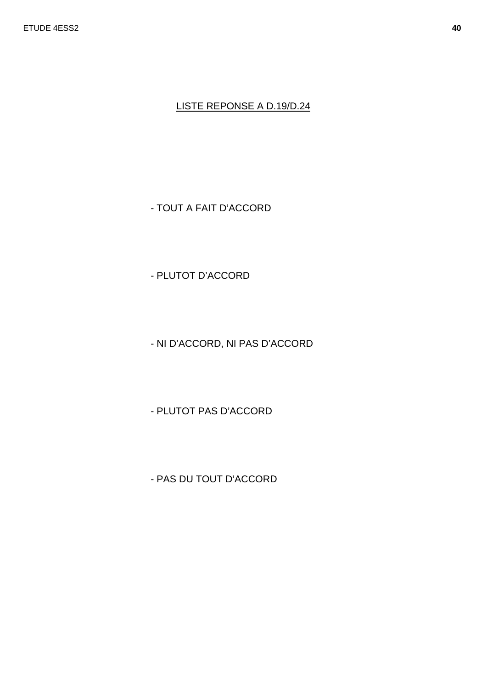LISTE REPONSE A D.19/D.24

- TOUT A FAIT D'ACCORD

- PLUTOT D'ACCORD

- NI D'ACCORD, NI PAS D'ACCORD

- PLUTOT PAS D'ACCORD

- PAS DU TOUT D'ACCORD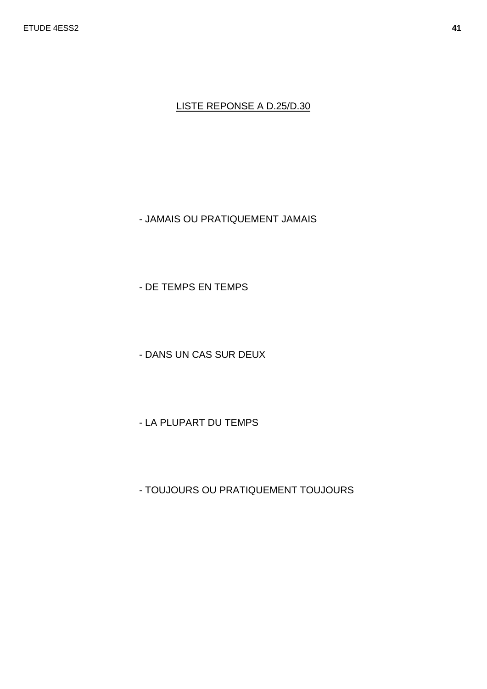LISTE REPONSE A D.25/D.30

- JAMAIS OU PRATIQUEMENT JAMAIS

- DE TEMPS EN TEMPS

- DANS UN CAS SUR DEUX

- LA PLUPART DU TEMPS

- TOUJOURS OU PRATIQUEMENT TOUJOURS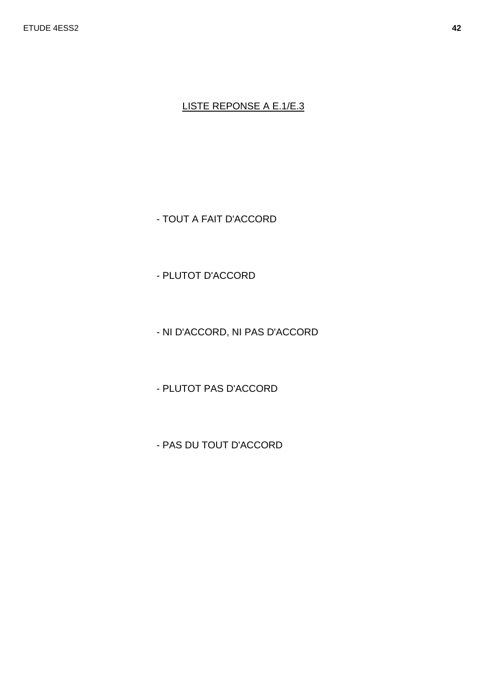LISTE REPONSE A E.1/E.3

- TOUT A FAIT D'ACCORD

- PLUTOT D'ACCORD

- NI D'ACCORD, NI PAS D'ACCORD

- PLUTOT PAS D'ACCORD

- PAS DU TOUT D'ACCORD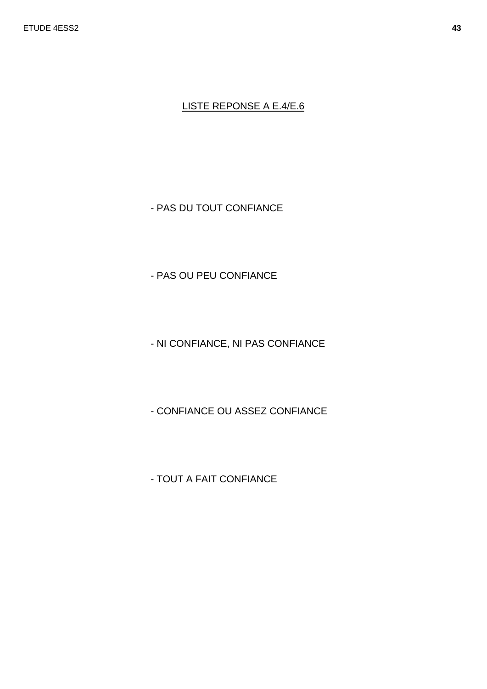# LISTE REPONSE A E.4/E.6

- PAS DU TOUT CONFIANCE

- PAS OU PEU CONFIANCE

- NI CONFIANCE, NI PAS CONFIANCE

- CONFIANCE OU ASSEZ CONFIANCE

- TOUT A FAIT CONFIANCE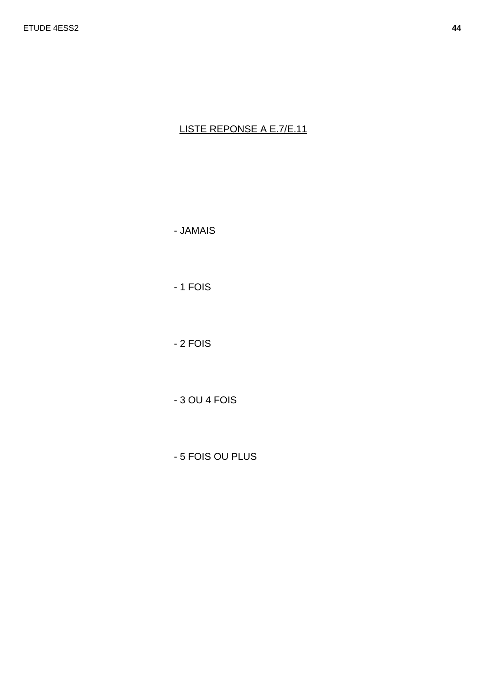# LISTE REPONSE A E.7/E.11

- JAMAIS

- 1 FOIS

- 2 FOIS

- 3 OU 4 FOIS

- 5 FOIS OU PLUS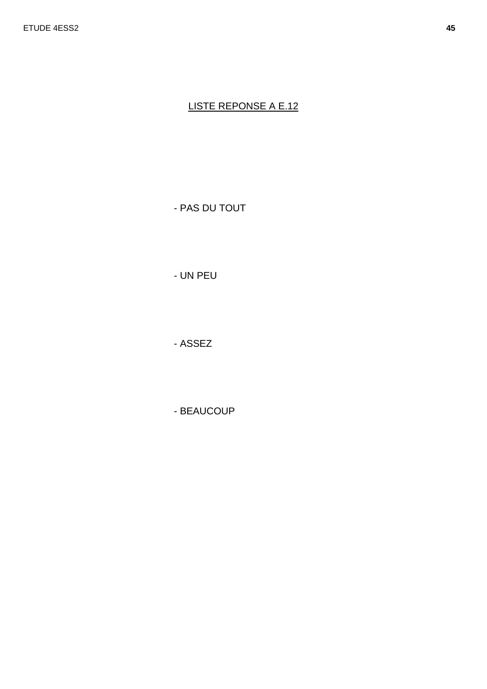- PAS DU TOUT

- UN PEU

- ASSEZ

- BEAUCOUP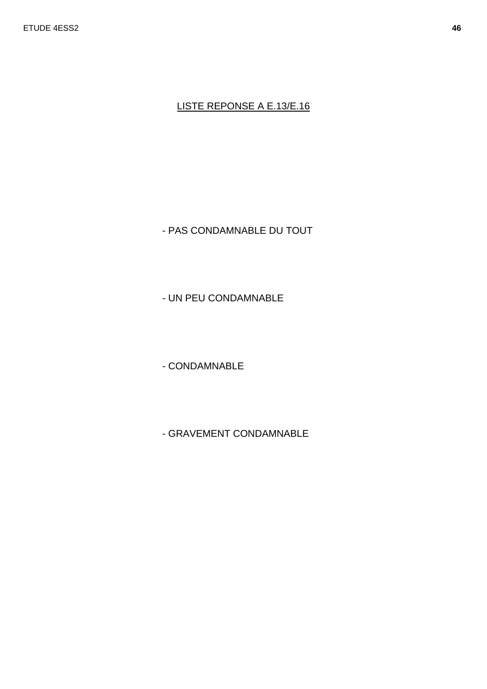LISTE REPONSE A E.13/E.16

- PAS CONDAMNABLE DU TOUT

- UN PEU CONDAMNABLE

- CONDAMNABLE

- GRAVEMENT CONDAMNABLE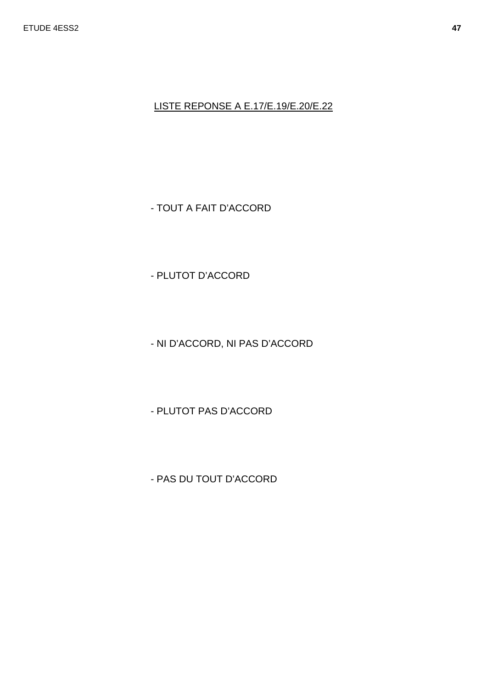LISTE REPONSE A E.17/E.19/E.20/E.22

- TOUT A FAIT D'ACCORD

- PLUTOT D'ACCORD

- NI D'ACCORD, NI PAS D'ACCORD

- PLUTOT PAS D'ACCORD

- PAS DU TOUT D'ACCORD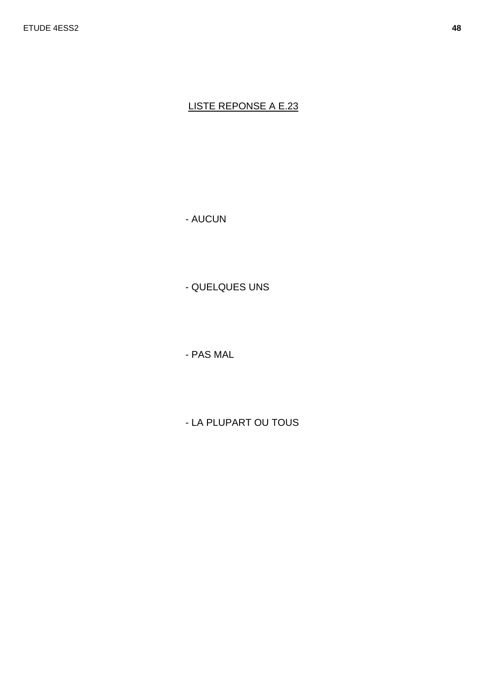- AUCUN

- QUELQUES UNS

- PAS MAL

- LA PLUPART OU TOUS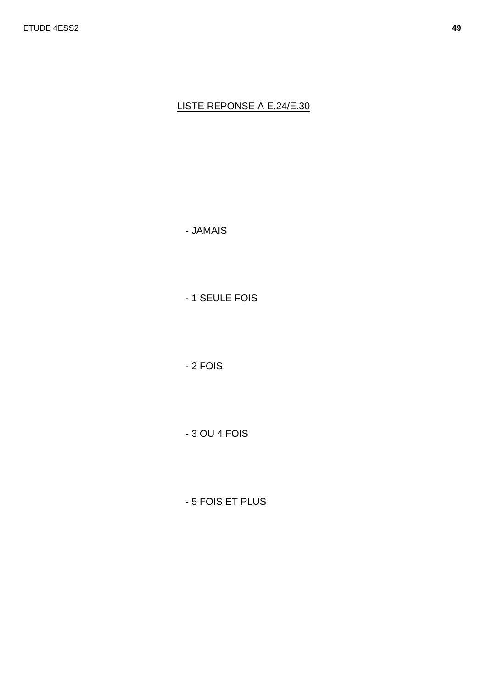LISTE REPONSE A E.24/E.30

- JAMAIS

- 1 SEULE FOIS

- 2 FOIS

- 3 OU 4 FOIS

- 5 FOIS ET PLUS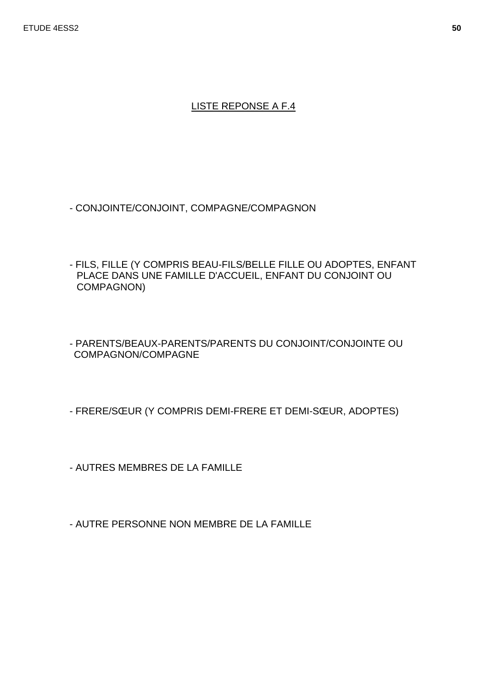- CONJOINTE/CONJOINT, COMPAGNE/COMPAGNON

- FILS, FILLE (Y COMPRIS BEAU-FILS/BELLE FILLE OU ADOPTES, ENFANT PLACE DANS UNE FAMILLE D'ACCUEIL, ENFANT DU CONJOINT OU COMPAGNON)
- PARENTS/BEAUX-PARENTS/PARENTS DU CONJOINT/CONJOINTE OU COMPAGNON/COMPAGNE
- FRERE/SŒUR (Y COMPRIS DEMI-FRERE ET DEMI-SŒUR, ADOPTES)

- AUTRES MEMBRES DE LA FAMILLE

- AUTRE PERSONNE NON MEMBRE DE LA FAMILLE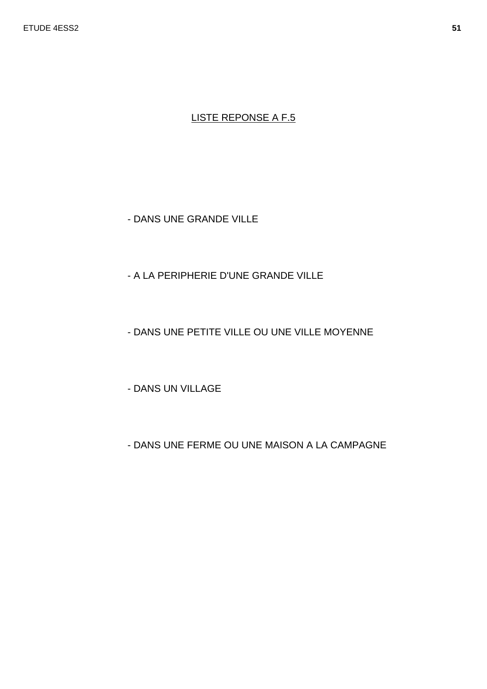#### - DANS UNE GRANDE VILLE

# - A LA PERIPHERIE D'UNE GRANDE VILLE

### - DANS UNE PETITE VILLE OU UNE VILLE MOYENNE

- DANS UN VILLAGE

# - DANS UNE FERME OU UNE MAISON A LA CAMPAGNE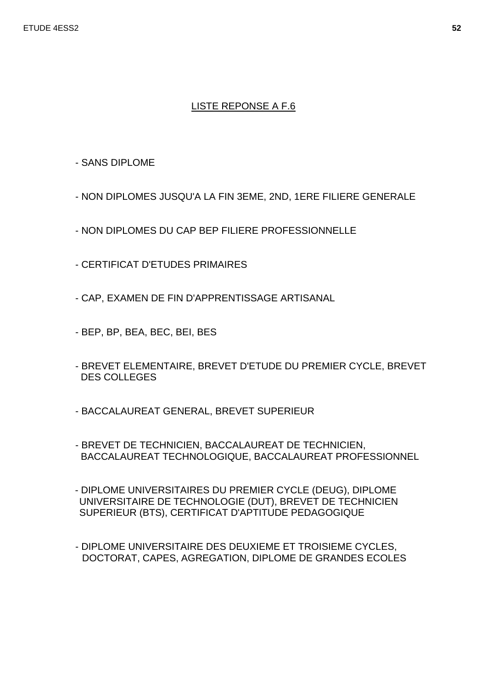- SANS DIPLOME

- NON DIPLOMES JUSQU'A LA FIN 3EME, 2ND, 1ERE FILIERE GENERALE

- NON DIPLOMES DU CAP BEP FILIERE PROFESSIONNELLE
- CERTIFICAT D'ETUDES PRIMAIRES

- CAP, EXAMEN DE FIN D'APPRENTISSAGE ARTISANAL

- BEP, BP, BEA, BEC, BEI, BES
- BREVET ELEMENTAIRE, BREVET D'ETUDE DU PREMIER CYCLE, BREVET DES COLLEGES
- BACCALAUREAT GENERAL, BREVET SUPERIEUR
- BREVET DE TECHNICIEN, BACCALAUREAT DE TECHNICIEN, BACCALAUREAT TECHNOLOGIQUE, BACCALAUREAT PROFESSIONNEL
- DIPLOME UNIVERSITAIRES DU PREMIER CYCLE (DEUG), DIPLOME UNIVERSITAIRE DE TECHNOLOGIE (DUT), BREVET DE TECHNICIEN SUPERIEUR (BTS), CERTIFICAT D'APTITUDE PEDAGOGIQUE
- DIPLOME UNIVERSITAIRE DES DEUXIEME ET TROISIEME CYCLES, DOCTORAT, CAPES, AGREGATION, DIPLOME DE GRANDES ECOLES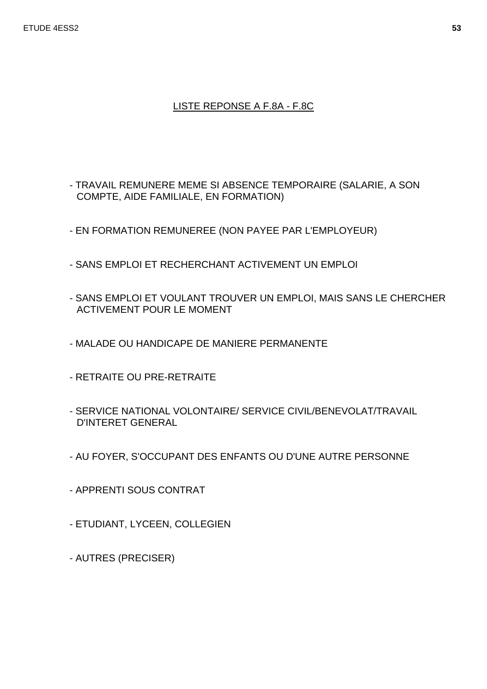#### LISTE REPONSE A F.8A - F.8C

- TRAVAIL REMUNERE MEME SI ABSENCE TEMPORAIRE (SALARIE, A SON COMPTE, AIDE FAMILIALE, EN FORMATION)
- EN FORMATION REMUNEREE (NON PAYEE PAR L'EMPLOYEUR)
- SANS EMPLOI ET RECHERCHANT ACTIVEMENT UN EMPLOI
- SANS EMPLOI ET VOULANT TROUVER UN EMPLOI, MAIS SANS LE CHERCHER ACTIVEMENT POUR LE MOMENT
- MALADE OU HANDICAPE DE MANIERE PERMANENTE
- RETRAITE OU PRE-RETRAITE
- SERVICE NATIONAL VOLONTAIRE/ SERVICE CIVIL/BENEVOLAT/TRAVAIL D'INTERET GENERAL
- AU FOYER, S'OCCUPANT DES ENFANTS OU D'UNE AUTRE PERSONNE
- APPRENTI SOUS CONTRAT
- ETUDIANT, LYCEEN, COLLEGIEN
- AUTRES (PRECISER)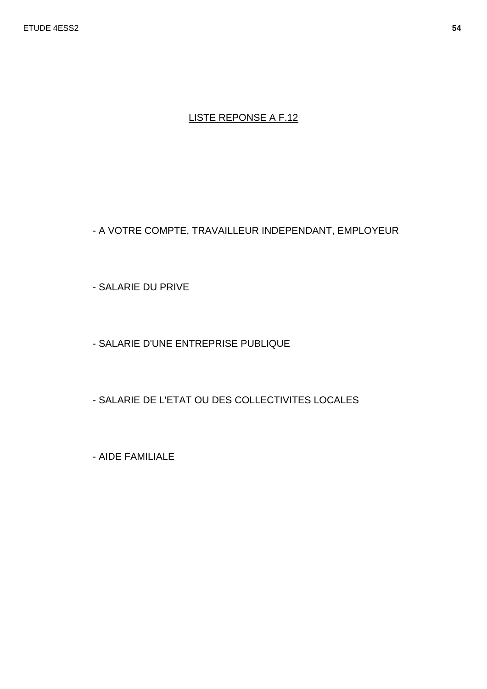- A VOTRE COMPTE, TRAVAILLEUR INDEPENDANT, EMPLOYEUR

- SALARIE DU PRIVE

- SALARIE D'UNE ENTREPRISE PUBLIQUE

- SALARIE DE L'ETAT OU DES COLLECTIVITES LOCALES

- AIDE FAMILIALE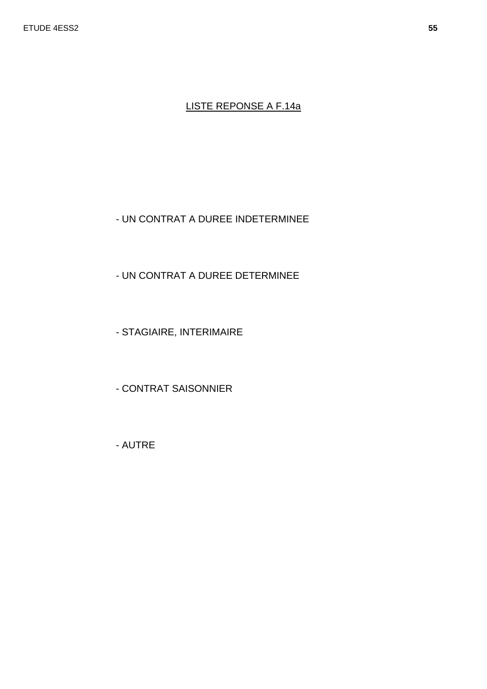#### - UN CONTRAT A DUREE INDETERMINEE

# - UN CONTRAT A DUREE DETERMINEE

- STAGIAIRE, INTERIMAIRE

- CONTRAT SAISONNIER

- AUTRE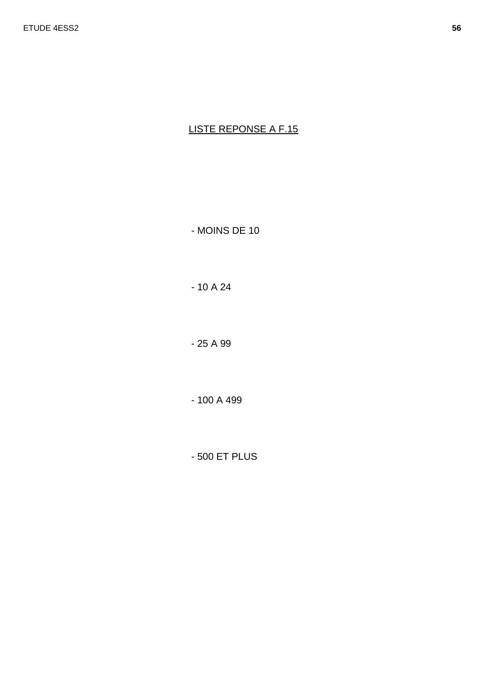- MOINS DE 10

- 10 A 24

- 25 A 99

- 100 A 499

- 500 ET PLUS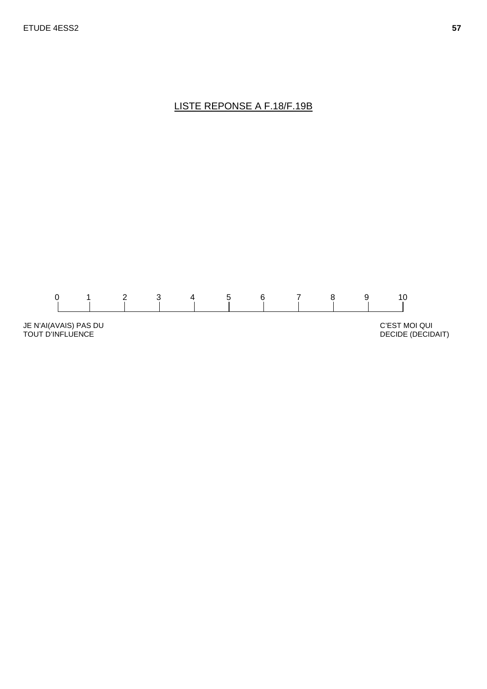LISTE REPONSE A F.18/F.19B



JE N'AI(AVAIS) PAS DU TOUT D'INFLUENCE

DECIDE (DECIDAIT)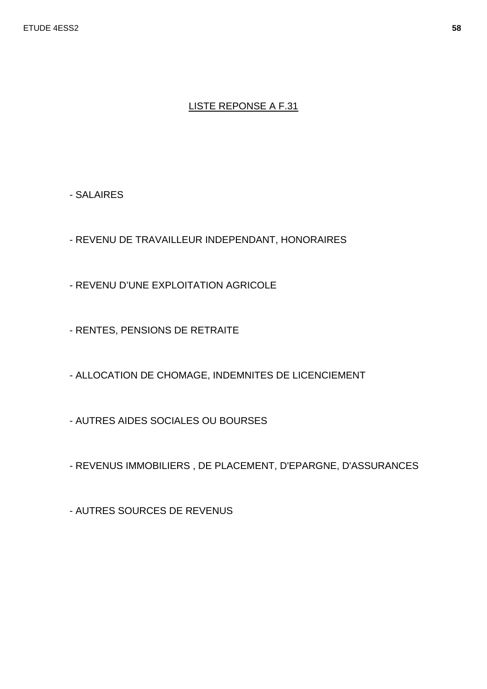- SALAIRES

- REVENU DE TRAVAILLEUR INDEPENDANT, HONORAIRES
- REVENU D'UNE EXPLOITATION AGRICOLE
- RENTES, PENSIONS DE RETRAITE
- ALLOCATION DE CHOMAGE, INDEMNITES DE LICENCIEMENT
- AUTRES AIDES SOCIALES OU BOURSES
- REVENUS IMMOBILIERS , DE PLACEMENT, D'EPARGNE, D'ASSURANCES
- AUTRES SOURCES DE REVENUS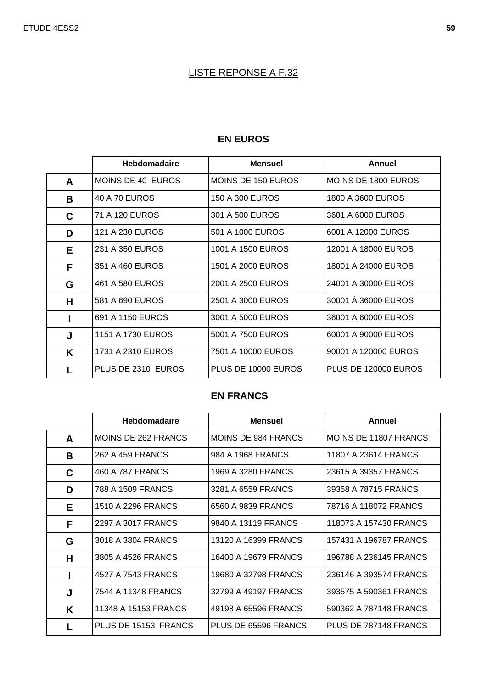#### **EN EUROS**

|   | <b>Hebdomadaire</b> | <b>Mensuel</b>      | <b>Annuel</b>        |
|---|---------------------|---------------------|----------------------|
| A | MOINS DE 40 EUROS   | MOINS DE 150 EUROS  | MOINS DE 1800 EUROS  |
| B | 40 A 70 EUROS       | 150 A 300 EUROS     | 1800 A 3600 EUROS    |
| C | 71 A 120 EUROS      | 301 A 500 EUROS     | 3601 A 6000 EUROS    |
| D | 121 A 230 EUROS     | 501 A 1000 EUROS    | 6001 A 12000 EUROS   |
| Е | 231 A 350 EUROS     | 1001 A 1500 EUROS   | 12001 A 18000 EUROS  |
| F | 351 A 460 EUROS     | 1501 A 2000 EUROS   | 18001 A 24000 EUROS  |
| G | 461 A 580 EUROS     | 2001 A 2500 EUROS   | 24001 A 30000 EUROS  |
| Н | 581 A 690 EUROS     | 2501 A 3000 EUROS   | 30001 A 36000 EUROS  |
| L | 691 A 1150 EUROS    | 3001 A 5000 EUROS   | 36001 A 60000 EUROS  |
| J | 1151 A 1730 EUROS   | 5001 A 7500 EUROS   | 60001 A 90000 EUROS  |
| Κ | 1731 A 2310 EUROS   | 7501 A 10000 EUROS  | 90001 A 120000 EUROS |
|   | PLUS DE 2310 EUROS  | PLUS DE 10000 EUROS | PLUS DE 120000 EUROS |

# **EN FRANCS**

|   | <b>Hebdomadaire</b>  | <b>Mensuel</b>       | <b>Annuel</b>          |
|---|----------------------|----------------------|------------------------|
| A | MOINS DE 262 FRANCS  | MOINS DE 984 FRANCS  | MOINS DE 11807 FRANCS  |
| B | 262 A 459 FRANCS     | 984 A 1968 FRANCS    | 11807 A 23614 FRANCS   |
| C | 460 A 787 FRANCS     | 1969 A 3280 FRANCS   | 23615 A 39357 FRANCS   |
| D | 788 A 1509 FRANCS    | 3281 A 6559 FRANCS   | 39358 A 78715 FRANCS   |
| Е | 1510 A 2296 FRANCS   | 6560 A 9839 FRANCS   | 78716 A 118072 FRANCS  |
| F | 2297 A 3017 FRANCS   | 9840 A 13119 FRANCS  | 118073 A 157430 FRANCS |
| G | 3018 A 3804 FRANCS   | 13120 A 16399 FRANCS | 157431 A 196787 FRANCS |
| н | 3805 A 4526 FRANCS   | 16400 A 19679 FRANCS | 196788 A 236145 FRANCS |
|   | 4527 A 7543 FRANCS   | 19680 A 32798 FRANCS | 236146 A 393574 FRANCS |
| J | 7544 A 11348 FRANCS  | 32799 A 49197 FRANCS | 393575 A 590361 FRANCS |
| K | 11348 A 15153 FRANCS | 49198 A 65596 FRANCS | 590362 A 787148 FRANCS |
| L | PLUS DE 15153 FRANCS | PLUS DE 65596 FRANCS | PLUS DE 787148 FRANCS  |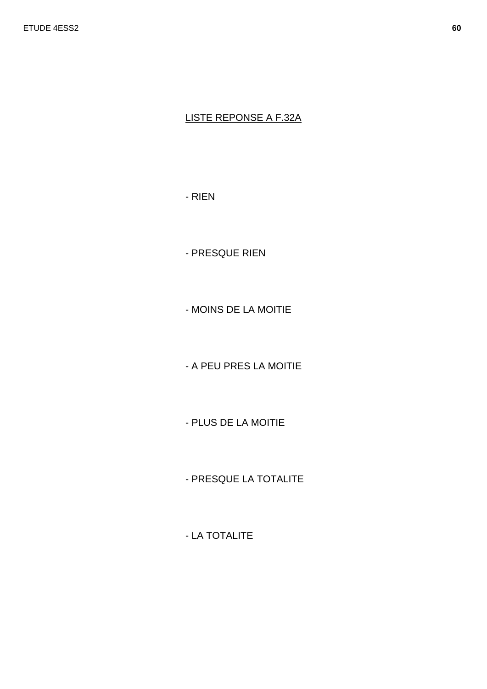- RIEN

- PRESQUE RIEN

- MOINS DE LA MOITIE

- A PEU PRES LA MOITIE

- PLUS DE LA MOITIE

- PRESQUE LA TOTALITE

- LA TOTALITE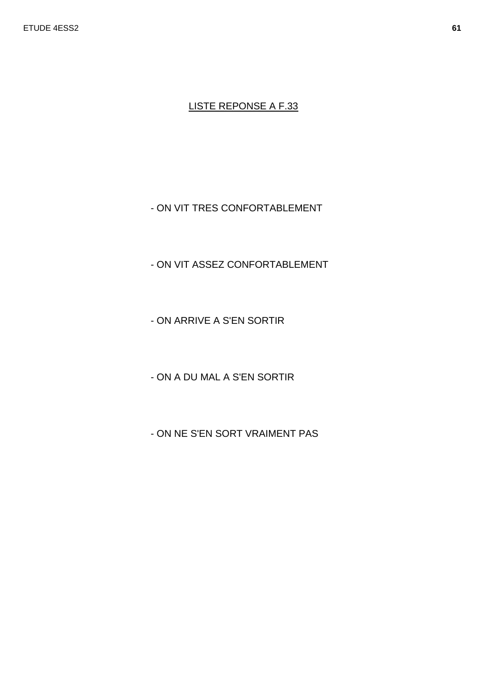- ON VIT TRES CONFORTABLEMENT

- ON VIT ASSEZ CONFORTABLEMENT

- ON ARRIVE A S'EN SORTIR

- ON A DU MAL A S'EN SORTIR

- ON NE S'EN SORT VRAIMENT PAS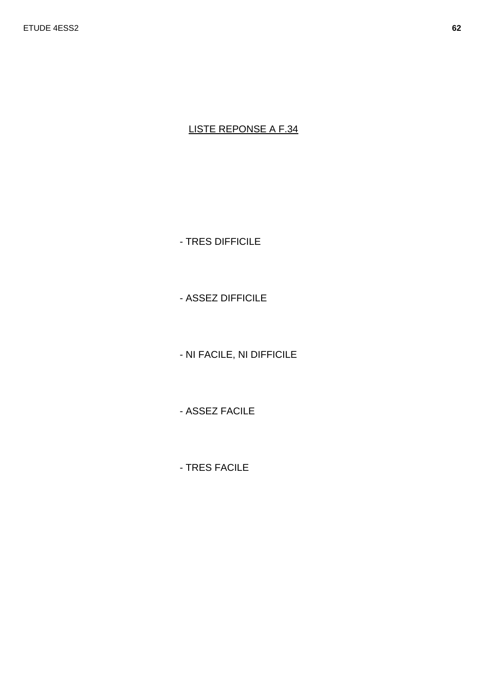- TRES DIFFICILE

- ASSEZ DIFFICILE

- NI FACILE, NI DIFFICILE

- ASSEZ FACILE

- TRES FACILE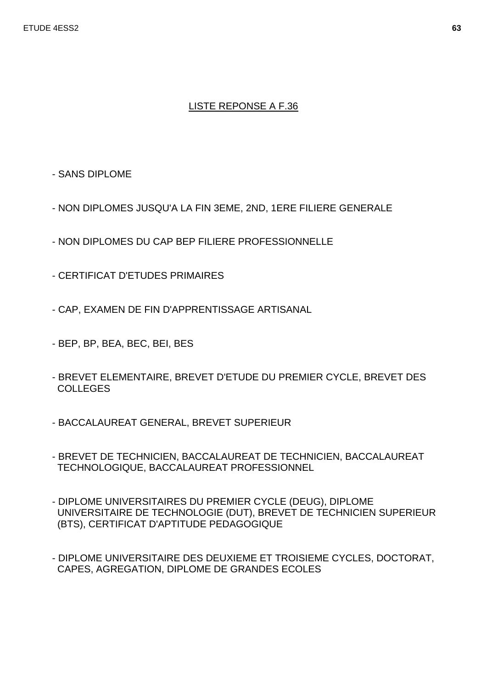- SANS DIPLOME

- NON DIPLOMES JUSQU'A LA FIN 3EME, 2ND, 1ERE FILIERE GENERALE
- NON DIPLOMES DU CAP BEP FILIERE PROFESSIONNELLE
- CERTIFICAT D'ETUDES PRIMAIRES
- CAP, EXAMEN DE FIN D'APPRENTISSAGE ARTISANAL
- BEP, BP, BEA, BEC, BEI, BES
- BREVET ELEMENTAIRE, BREVET D'ETUDE DU PREMIER CYCLE, BREVET DES COLLEGES
- BACCALAUREAT GENERAL, BREVET SUPERIEUR
- BREVET DE TECHNICIEN, BACCALAUREAT DE TECHNICIEN, BACCALAUREAT TECHNOLOGIQUE, BACCALAUREAT PROFESSIONNEL
- DIPLOME UNIVERSITAIRES DU PREMIER CYCLE (DEUG), DIPLOME UNIVERSITAIRE DE TECHNOLOGIE (DUT), BREVET DE TECHNICIEN SUPERIEUR (BTS), CERTIFICAT D'APTITUDE PEDAGOGIQUE
- DIPLOME UNIVERSITAIRE DES DEUXIEME ET TROISIEME CYCLES, DOCTORAT, CAPES, AGREGATION, DIPLOME DE GRANDES ECOLES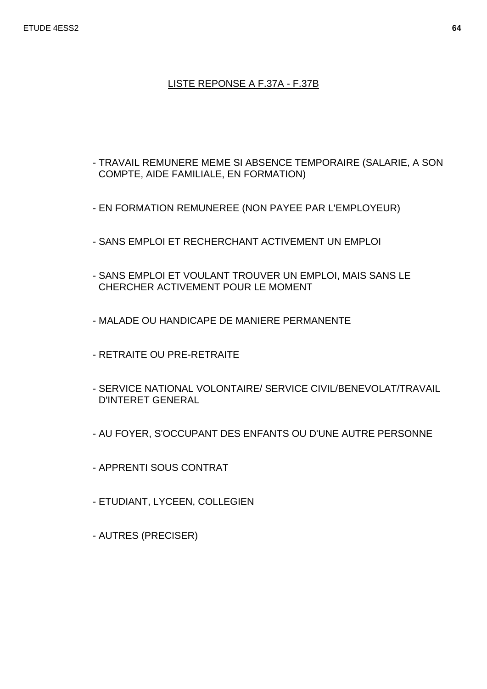# LISTE REPONSE A F.37A - F.37B

- TRAVAIL REMUNERE MEME SI ABSENCE TEMPORAIRE (SALARIE, A SON COMPTE, AIDE FAMILIALE, EN FORMATION)
- EN FORMATION REMUNEREE (NON PAYEE PAR L'EMPLOYEUR)
- SANS EMPLOI ET RECHERCHANT ACTIVEMENT UN EMPLOI
- SANS EMPLOI ET VOULANT TROUVER UN EMPLOI, MAIS SANS LE CHERCHER ACTIVEMENT POUR LE MOMENT
- MALADE OU HANDICAPE DE MANIERE PERMANENTE
- RETRAITE OU PRE-RETRAITE
- SERVICE NATIONAL VOLONTAIRE/ SERVICE CIVIL/BENEVOLAT/TRAVAIL D'INTERET GENERAL
- AU FOYER, S'OCCUPANT DES ENFANTS OU D'UNE AUTRE PERSONNE
- APPRENTI SOUS CONTRAT
- ETUDIANT, LYCEEN, COLLEGIEN
- AUTRES (PRECISER)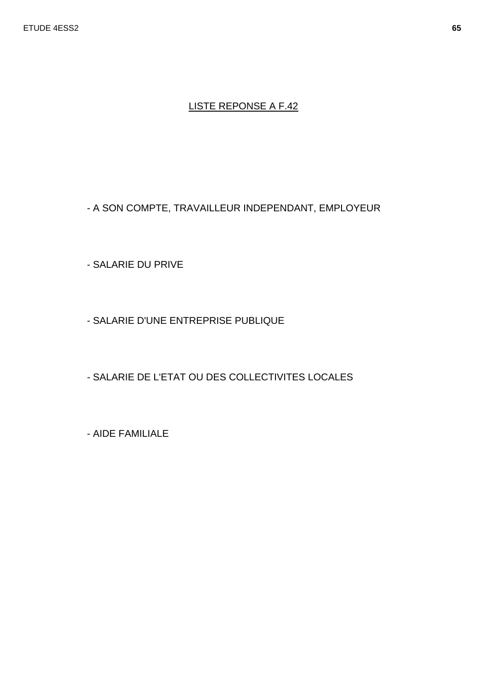- A SON COMPTE, TRAVAILLEUR INDEPENDANT, EMPLOYEUR

- SALARIE DU PRIVE

- SALARIE D'UNE ENTREPRISE PUBLIQUE

- SALARIE DE L'ETAT OU DES COLLECTIVITES LOCALES

- AIDE FAMILIALE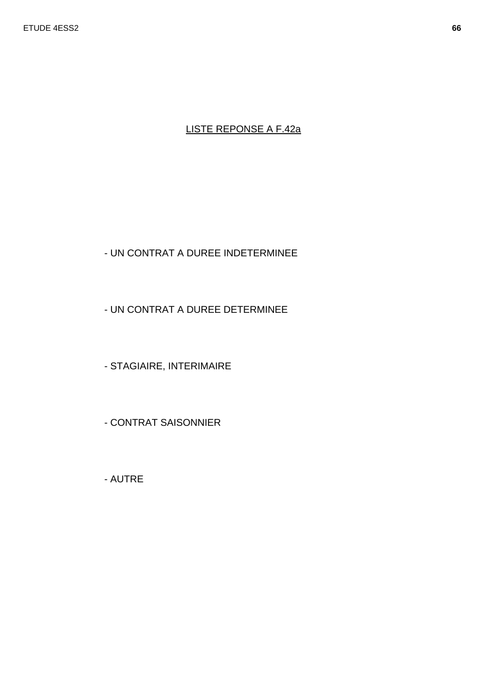# - UN CONTRAT A DUREE INDETERMINEE

# - UN CONTRAT A DUREE DETERMINEE

- STAGIAIRE, INTERIMAIRE

- CONTRAT SAISONNIER

- AUTRE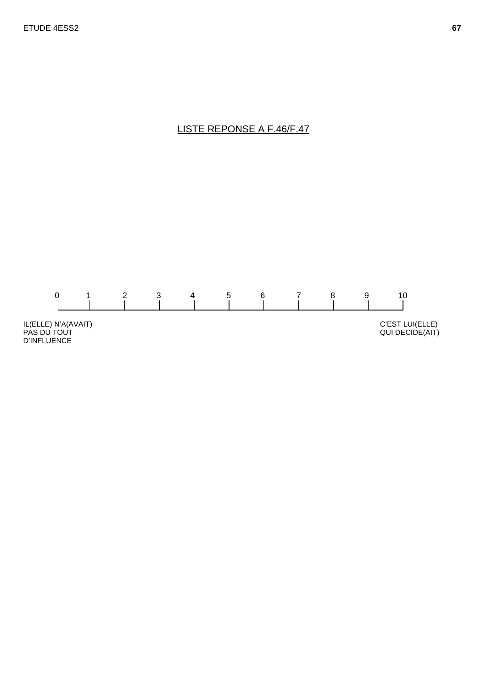





IL(ELLE) N'A(AVAIT) PAS DU TOUT D'INFLUENCE

QUI DECIDE(AIT)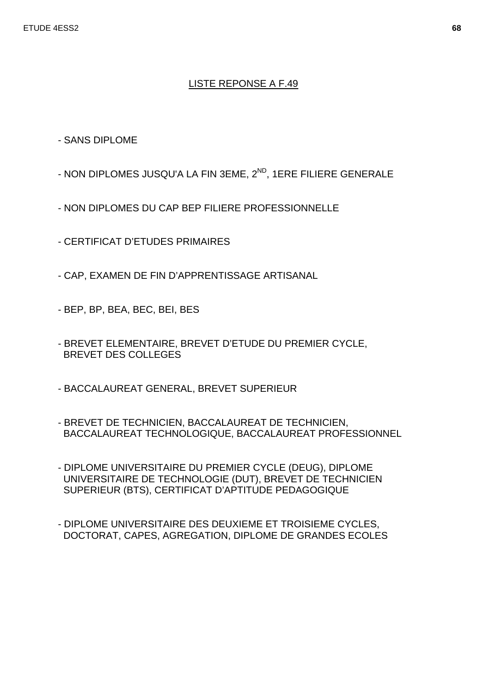- SANS DIPLOME

- NON DIPLOMES JUSQU'A LA FIN 3EME, 2<sup>ND</sup>, 1ERE FILIERE GENERALE
- NON DIPLOMES DU CAP BEP FILIERE PROFESSIONNELLE
- CERTIFICAT D'ETUDES PRIMAIRES
- CAP, EXAMEN DE FIN D'APPRENTISSAGE ARTISANAL
- BEP, BP, BEA, BEC, BEI, BES
- BREVET ELEMENTAIRE, BREVET D'ETUDE DU PREMIER CYCLE, BREVET DES COLLEGES
- BACCALAUREAT GENERAL, BREVET SUPERIEUR
- BREVET DE TECHNICIEN, BACCALAUREAT DE TECHNICIEN, BACCALAUREAT TECHNOLOGIQUE, BACCALAUREAT PROFESSIONNEL
- DIPLOME UNIVERSITAIRE DU PREMIER CYCLE (DEUG), DIPLOME UNIVERSITAIRE DE TECHNOLOGIE (DUT), BREVET DE TECHNICIEN SUPERIEUR (BTS), CERTIFICAT D'APTITUDE PEDAGOGIQUE
- DIPLOME UNIVERSITAIRE DES DEUXIEME ET TROISIEME CYCLES, DOCTORAT, CAPES, AGREGATION, DIPLOME DE GRANDES ECOLES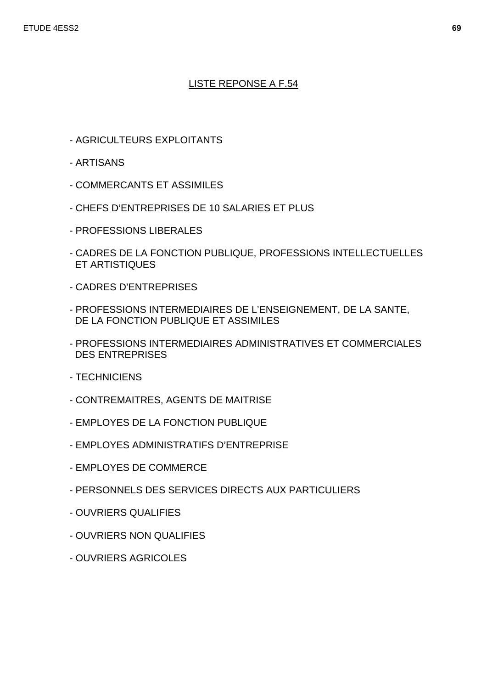- AGRICULTEURS EXPLOITANTS
- ARTISANS
- COMMERCANTS ET ASSIMILES
- CHEFS D'ENTREPRISES DE 10 SALARIES ET PLUS
- PROFESSIONS LIBERALES
- CADRES DE LA FONCTION PUBLIQUE, PROFESSIONS INTELLECTUELLES ET ARTISTIQUES
- CADRES D'ENTREPRISES
- PROFESSIONS INTERMEDIAIRES DE L'ENSEIGNEMENT, DE LA SANTE, DE LA FONCTION PUBLIQUE ET ASSIMILES
- PROFESSIONS INTERMEDIAIRES ADMINISTRATIVES ET COMMERCIALES DES ENTREPRISES
- TECHNICIENS
- CONTREMAITRES, AGENTS DE MAITRISE
- EMPLOYES DE LA FONCTION PUBLIQUE
- EMPLOYES ADMINISTRATIFS D'ENTREPRISE
- EMPLOYES DE COMMERCE
- PERSONNELS DES SERVICES DIRECTS AUX PARTICULIERS
- OUVRIERS QUALIFIES
- OUVRIERS NON QUALIFIES
- OUVRIERS AGRICOLES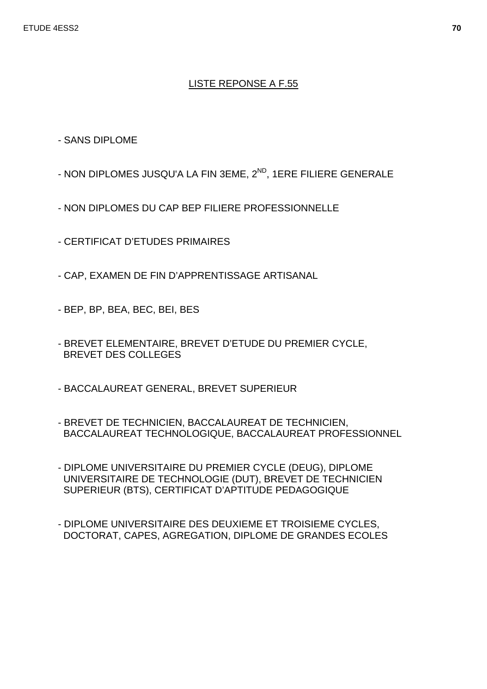- SANS DIPLOME

- NON DIPLOMES JUSQU'A LA FIN 3EME, 2<sup>ND</sup>, 1ERE FILIERE GENERALE
- NON DIPLOMES DU CAP BEP FILIERE PROFESSIONNELLE
- CERTIFICAT D'ETUDES PRIMAIRES
- CAP, EXAMEN DE FIN D'APPRENTISSAGE ARTISANAL
- BEP, BP, BEA, BEC, BEI, BES
- BREVET ELEMENTAIRE, BREVET D'ETUDE DU PREMIER CYCLE, BREVET DES COLLEGES
- BACCALAUREAT GENERAL, BREVET SUPERIEUR
- BREVET DE TECHNICIEN, BACCALAUREAT DE TECHNICIEN, BACCALAUREAT TECHNOLOGIQUE, BACCALAUREAT PROFESSIONNEL
- DIPLOME UNIVERSITAIRE DU PREMIER CYCLE (DEUG), DIPLOME UNIVERSITAIRE DE TECHNOLOGIE (DUT), BREVET DE TECHNICIEN SUPERIEUR (BTS), CERTIFICAT D'APTITUDE PEDAGOGIQUE
- DIPLOME UNIVERSITAIRE DES DEUXIEME ET TROISIEME CYCLES, DOCTORAT, CAPES, AGREGATION, DIPLOME DE GRANDES ECOLES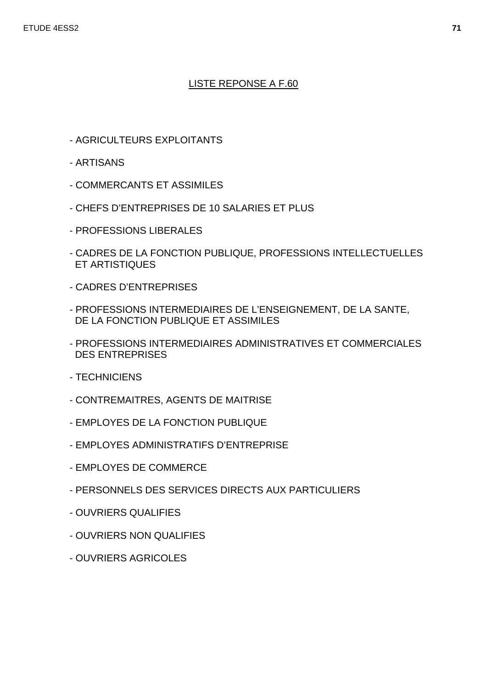- AGRICULTEURS EXPLOITANTS
- ARTISANS
- COMMERCANTS ET ASSIMILES
- CHEFS D'ENTREPRISES DE 10 SALARIES ET PLUS
- PROFESSIONS LIBERALES
- CADRES DE LA FONCTION PUBLIQUE, PROFESSIONS INTELLECTUELLES ET ARTISTIQUES
- CADRES D'ENTREPRISES
- PROFESSIONS INTERMEDIAIRES DE L'ENSEIGNEMENT, DE LA SANTE, DE LA FONCTION PUBLIQUE ET ASSIMILES
- PROFESSIONS INTERMEDIAIRES ADMINISTRATIVES ET COMMERCIALES DES ENTREPRISES
- TECHNICIENS
- CONTREMAITRES, AGENTS DE MAITRISE
- EMPLOYES DE LA FONCTION PUBLIQUE
- EMPLOYES ADMINISTRATIFS D'ENTREPRISE
- EMPLOYES DE COMMERCE
- PERSONNELS DES SERVICES DIRECTS AUX PARTICULIERS
- OUVRIERS QUALIFIES
- OUVRIERS NON QUALIFIES
- OUVRIERS AGRICOLES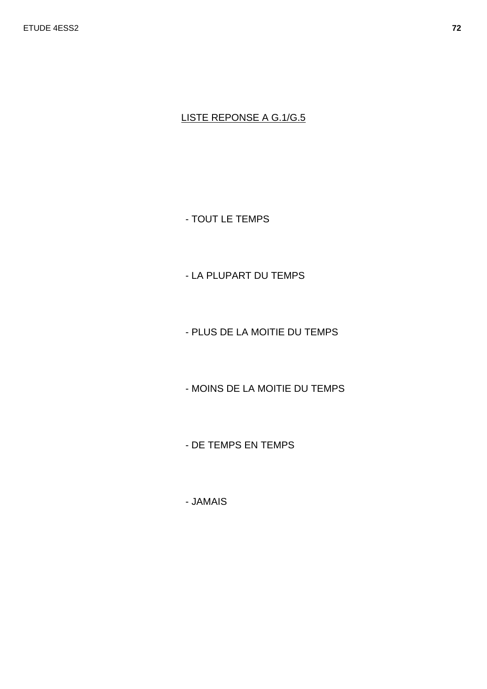LISTE REPONSE A G.1/G.5

- TOUT LE TEMPS

- LA PLUPART DU TEMPS

- PLUS DE LA MOITIE DU TEMPS

- MOINS DE LA MOITIE DU TEMPS

- DE TEMPS EN TEMPS

- JAMAIS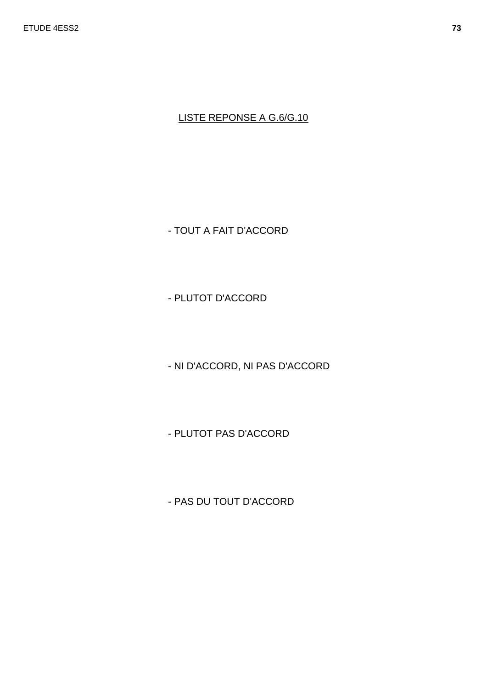LISTE REPONSE A G.6/G.10

- TOUT A FAIT D'ACCORD

- PLUTOT D'ACCORD

- NI D'ACCORD, NI PAS D'ACCORD

- PLUTOT PAS D'ACCORD

- PAS DU TOUT D'ACCORD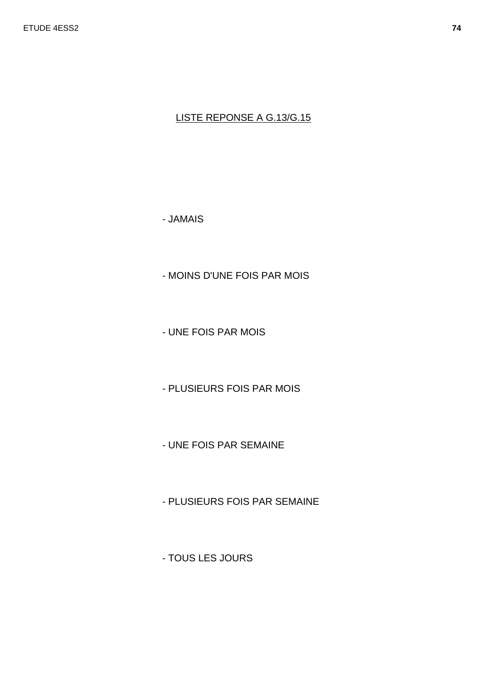LISTE REPONSE A G.13/G.15

- JAMAIS

- MOINS D'UNE FOIS PAR MOIS

- UNE FOIS PAR MOIS

- PLUSIEURS FOIS PAR MOIS

- UNE FOIS PAR SEMAINE

- PLUSIEURS FOIS PAR SEMAINE

- TOUS LES JOURS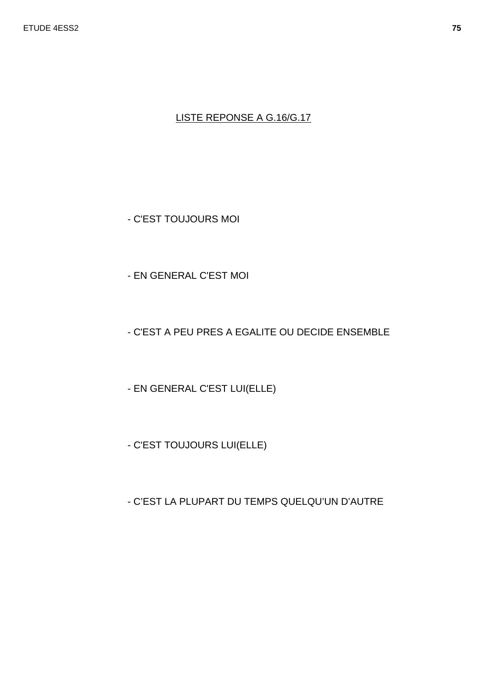LISTE REPONSE A G.16/G.17

- C'EST TOUJOURS MOI

- EN GENERAL C'EST MOI

- C'EST A PEU PRES A EGALITE OU DECIDE ENSEMBLE

- EN GENERAL C'EST LUI(ELLE)

- C'EST TOUJOURS LUI(ELLE)

- C'EST LA PLUPART DU TEMPS QUELQU'UN D'AUTRE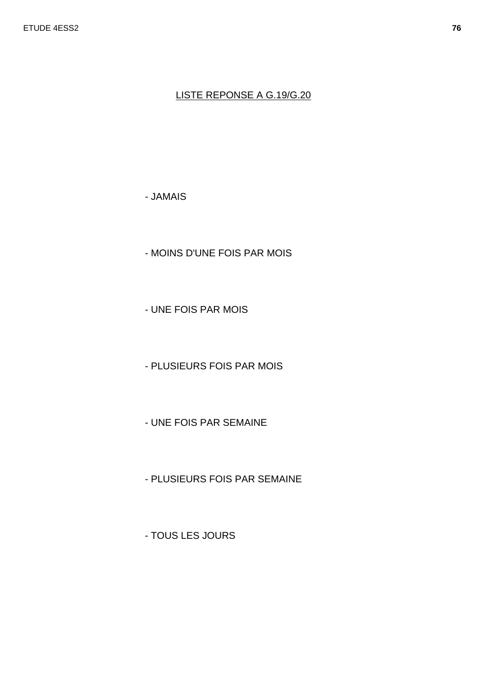## LISTE REPONSE A G.19/G.20

- JAMAIS

- MOINS D'UNE FOIS PAR MOIS

- UNE FOIS PAR MOIS

- PLUSIEURS FOIS PAR MOIS

- UNE FOIS PAR SEMAINE

- PLUSIEURS FOIS PAR SEMAINE

- TOUS LES JOURS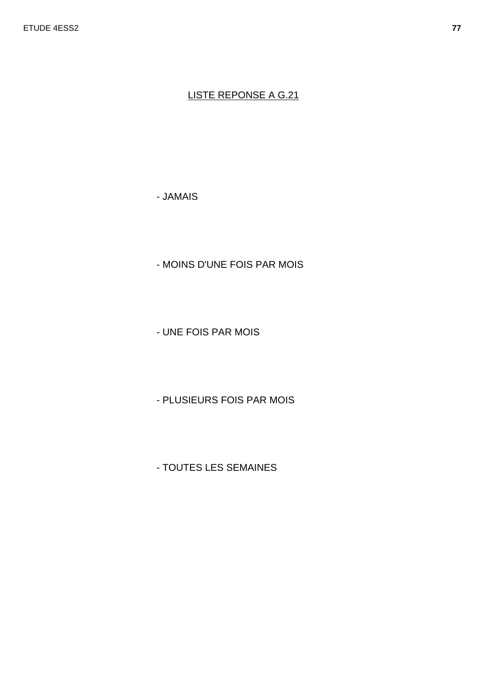- JAMAIS

- MOINS D'UNE FOIS PAR MOIS

- UNE FOIS PAR MOIS

- PLUSIEURS FOIS PAR MOIS

- TOUTES LES SEMAINES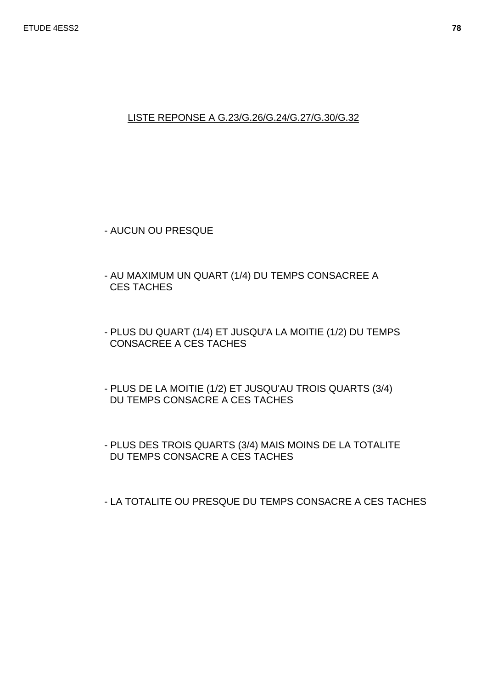LISTE REPONSE A G.23/G.26/G.24/G.27/G.30/G.32

### - AUCUN OU PRESQUE

- AU MAXIMUM UN QUART (1/4) DU TEMPS CONSACREE A CES TACHES
- PLUS DU QUART (1/4) ET JUSQU'A LA MOITIE (1/2) DU TEMPS CONSACREE A CES TACHES
- PLUS DE LA MOITIE (1/2) ET JUSQU'AU TROIS QUARTS (3/4) DU TEMPS CONSACRE A CES TACHES
- PLUS DES TROIS QUARTS (3/4) MAIS MOINS DE LA TOTALITE DU TEMPS CONSACRE A CES TACHES

- LA TOTALITE OU PRESQUE DU TEMPS CONSACRE A CES TACHES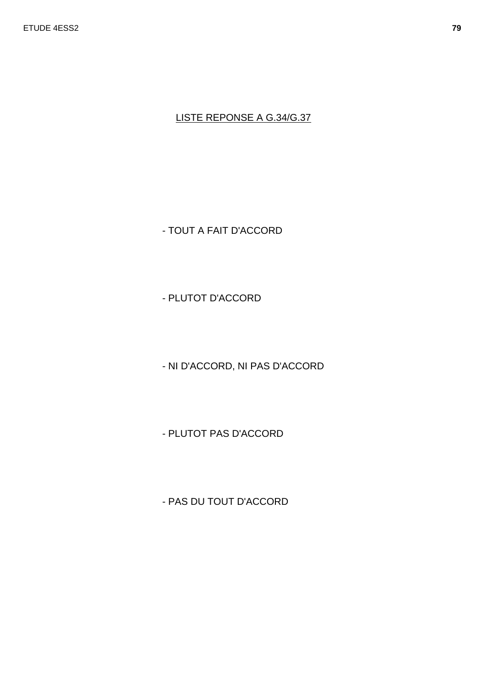LISTE REPONSE A G.34/G.37

- TOUT A FAIT D'ACCORD

- PLUTOT D'ACCORD

- NI D'ACCORD, NI PAS D'ACCORD

- PLUTOT PAS D'ACCORD

- PAS DU TOUT D'ACCORD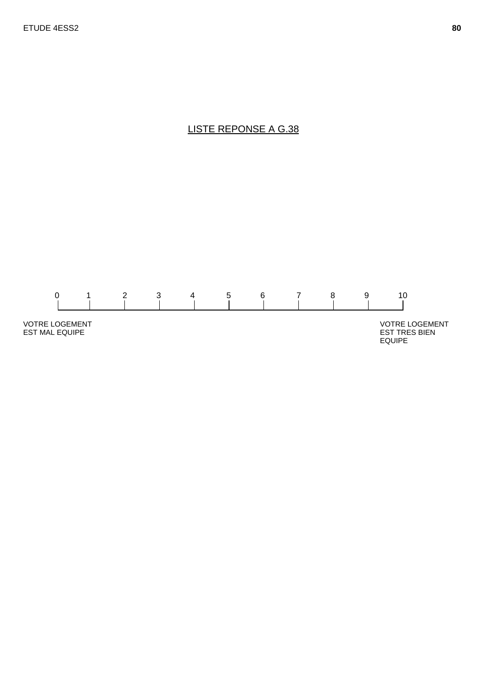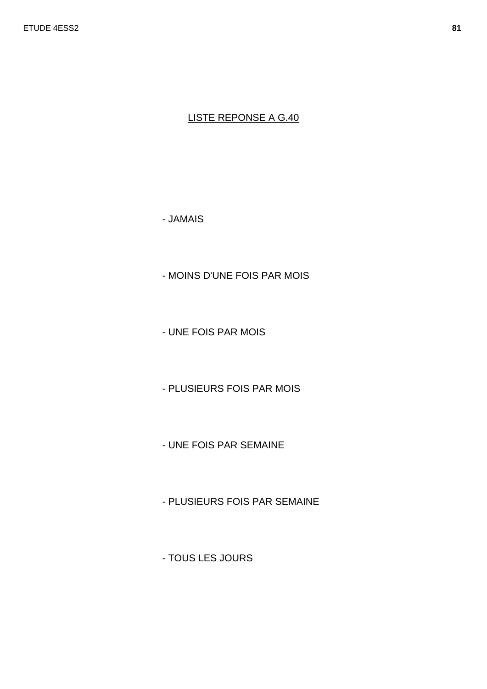- JAMAIS

- MOINS D'UNE FOIS PAR MOIS

- UNE FOIS PAR MOIS

- PLUSIEURS FOIS PAR MOIS

- UNE FOIS PAR SEMAINE

- PLUSIEURS FOIS PAR SEMAINE

- TOUS LES JOURS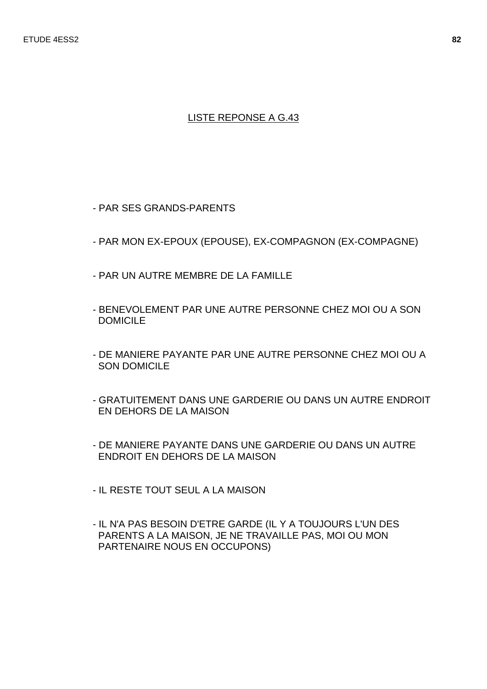- PAR SES GRANDS-PARENTS
- PAR MON EX-EPOUX (EPOUSE), EX-COMPAGNON (EX-COMPAGNE)
- PAR UN AUTRE MEMBRE DE LA FAMILLE
- BENEVOLEMENT PAR UNE AUTRE PERSONNE CHEZ MOI OU A SON **DOMICILE**
- DE MANIERE PAYANTE PAR UNE AUTRE PERSONNE CHEZ MOI OU A SON DOMICILE
- GRATUITEMENT DANS UNE GARDERIE OU DANS UN AUTRE ENDROIT EN DEHORS DE LA MAISON
- DE MANIERE PAYANTE DANS UNE GARDERIE OU DANS UN AUTRE ENDROIT EN DEHORS DE LA MAISON
- IL RESTE TOUT SEUL A LA MAISON
- IL N'A PAS BESOIN D'ETRE GARDE (IL Y A TOUJOURS L'UN DES PARENTS A LA MAISON, JE NE TRAVAILLE PAS, MOI OU MON PARTENAIRE NOUS EN OCCUPONS)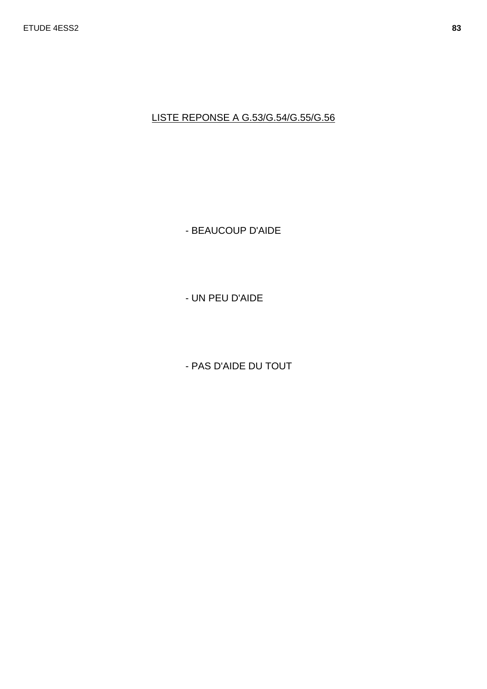LISTE REPONSE A G.53/G.54/G.55/G.56

- BEAUCOUP D'AIDE

- UN PEU D'AIDE

- PAS D'AIDE DU TOUT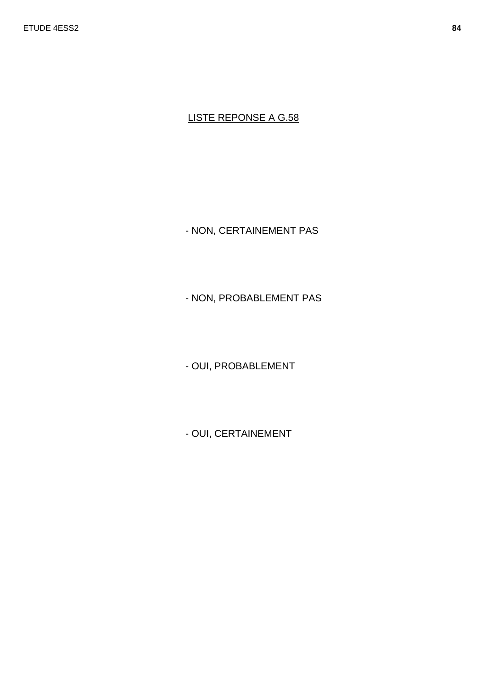- NON, CERTAINEMENT PAS

- NON, PROBABLEMENT PAS

- OUI, PROBABLEMENT

- OUI, CERTAINEMENT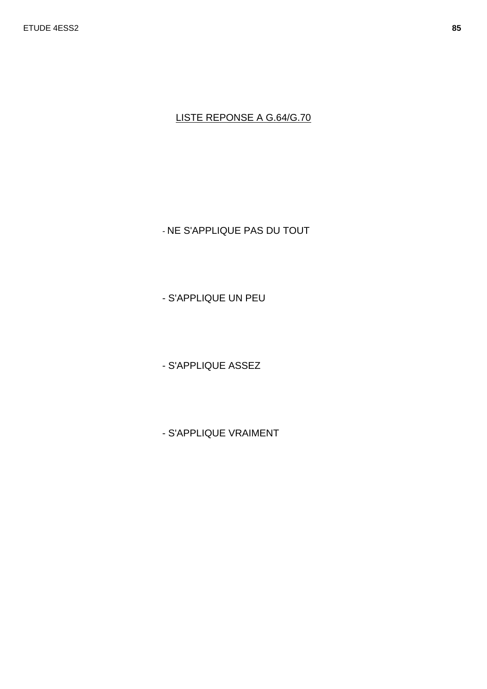LISTE REPONSE A G.64/G.70

 *-* NE S'APPLIQUE PAS DU TOUT

- S'APPLIQUE UN PEU

- S'APPLIQUE ASSEZ

- S'APPLIQUE VRAIMENT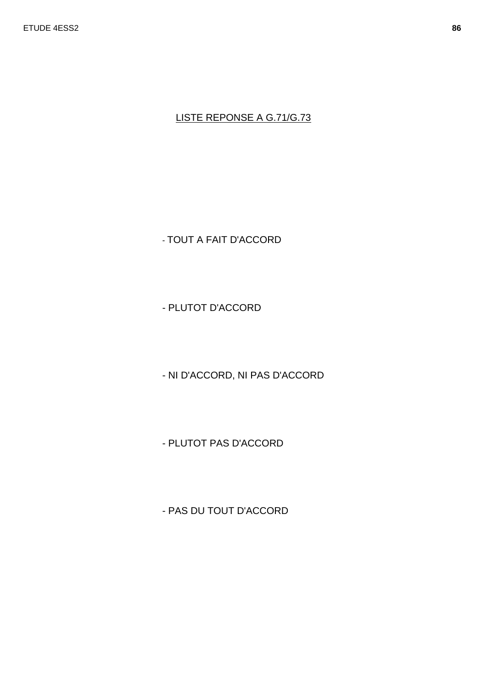LISTE REPONSE A G.71/G.73

- TOUT A FAIT D'ACCORD

- PLUTOT D'ACCORD

- NI D'ACCORD, NI PAS D'ACCORD

- PLUTOT PAS D'ACCORD

- PAS DU TOUT D'ACCORD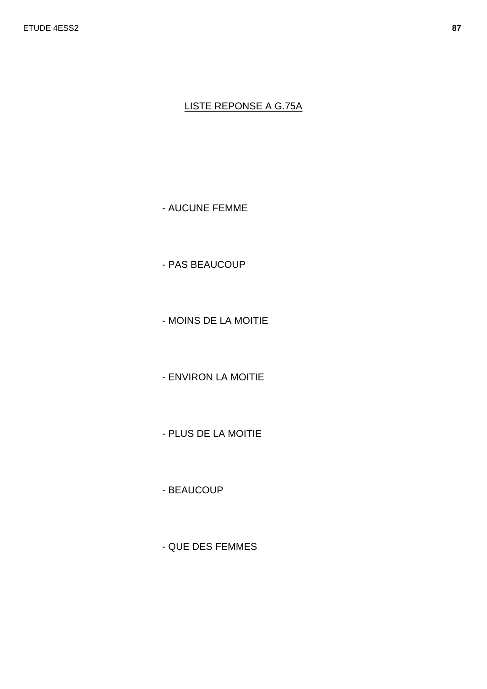- AUCUNE FEMME

- PAS BEAUCOUP

- MOINS DE LA MOITIE

- ENVIRON LA MOITIE

- PLUS DE LA MOITIE

- BEAUCOUP

- QUE DES FEMMES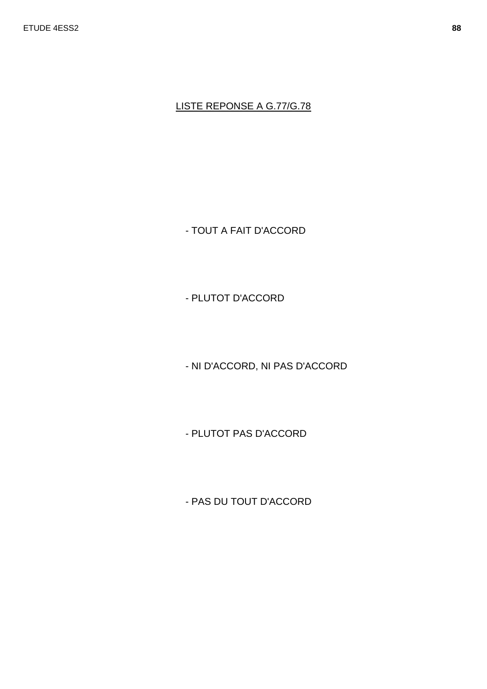LISTE REPONSE A G.77/G.78

- TOUT A FAIT D'ACCORD

- PLUTOT D'ACCORD

- NI D'ACCORD, NI PAS D'ACCORD

- PLUTOT PAS D'ACCORD

- PAS DU TOUT D'ACCORD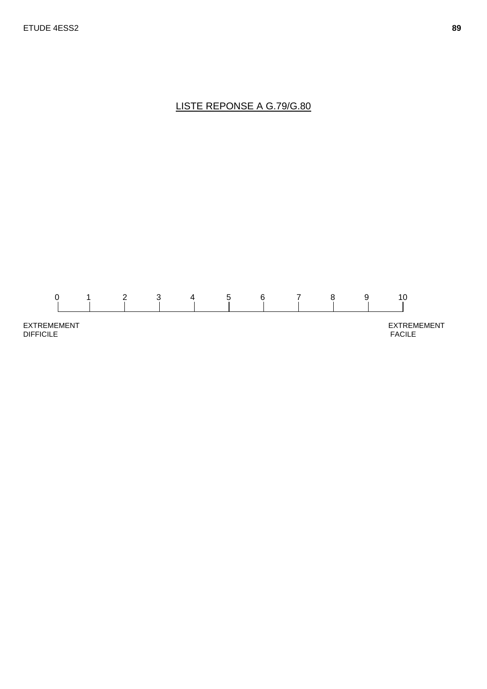LISTE REPONSE A G.79/G.80

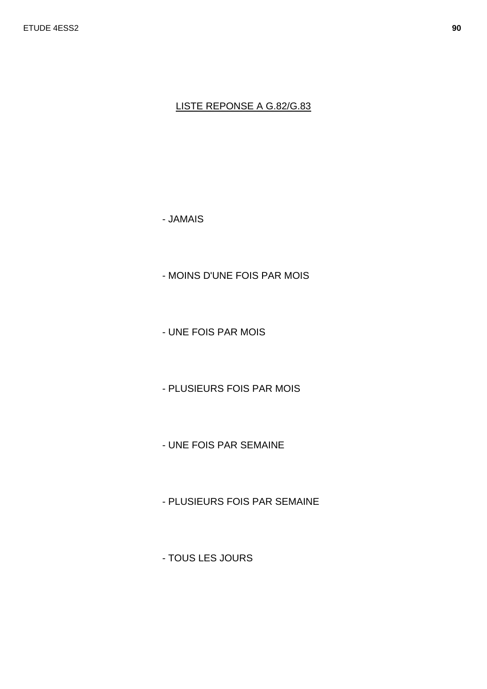LISTE REPONSE A G.82/G.83

- JAMAIS

- MOINS D'UNE FOIS PAR MOIS

- UNE FOIS PAR MOIS

- PLUSIEURS FOIS PAR MOIS

- UNE FOIS PAR SEMAINE

- PLUSIEURS FOIS PAR SEMAINE

- TOUS LES JOURS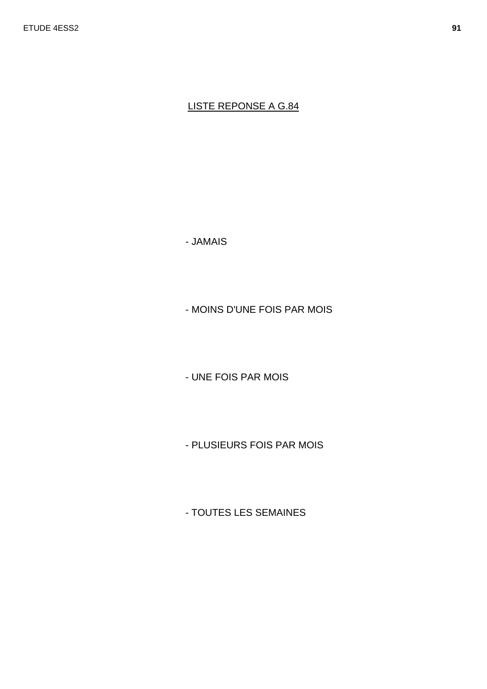- JAMAIS

## - MOINS D'UNE FOIS PAR MOIS

- UNE FOIS PAR MOIS

- PLUSIEURS FOIS PAR MOIS

- TOUTES LES SEMAINES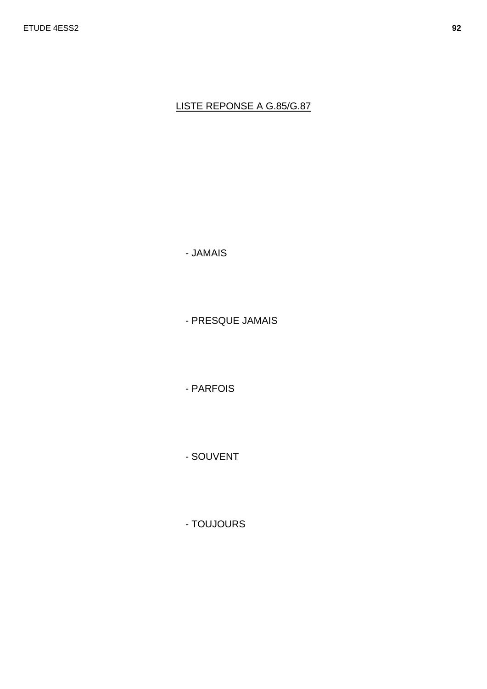LISTE REPONSE A G.85/G.87

- JAMAIS

- PRESQUE JAMAIS

- PARFOIS

- SOUVENT

- TOUJOURS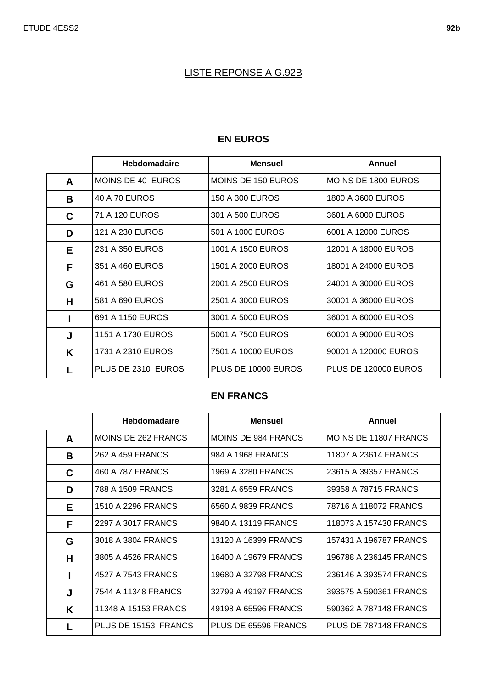### **EN EUROS**

|   | <b>Hebdomadaire</b> | <b>Mensuel</b>      | <b>Annuel</b>        |
|---|---------------------|---------------------|----------------------|
| A | MOINS DE 40 EUROS   | MOINS DE 150 EUROS  | MOINS DE 1800 EUROS  |
| B | 40 A 70 EUROS       | 150 A 300 EUROS     | 1800 A 3600 EUROS    |
| C | 71 A 120 EUROS      | 301 A 500 EUROS     | 3601 A 6000 EUROS    |
| D | 121 A 230 EUROS     | 501 A 1000 EUROS    | 6001 A 12000 EUROS   |
| Е | 231 A 350 EUROS     | 1001 A 1500 EUROS   | 12001 A 18000 EUROS  |
| F | 351 A 460 EUROS     | 1501 A 2000 EUROS   | 18001 A 24000 EUROS  |
| G | 461 A 580 EUROS     | 2001 A 2500 EUROS   | 24001 A 30000 EUROS  |
| Н | 581 A 690 EUROS     | 2501 A 3000 EUROS   | 30001 A 36000 EUROS  |
|   | 691 A 1150 EUROS    | 3001 A 5000 EUROS   | 36001 A 60000 EUROS  |
| J | 1151 A 1730 EUROS   | 5001 A 7500 EUROS   | 60001 A 90000 EUROS  |
| K | 1731 A 2310 EUROS   | 7501 A 10000 EUROS  | 90001 A 120000 EUROS |
|   | PLUS DE 2310 EUROS  | PLUS DE 10000 EUROS | PLUS DE 120000 EUROS |

### **EN FRANCS**

|   | <b>Hebdomadaire</b>  | <b>Mensuel</b>       | <b>Annuel</b>          |
|---|----------------------|----------------------|------------------------|
| A | IMOINS DE 262 FRANCS | MOINS DE 984 FRANCS  | MOINS DE 11807 FRANCS  |
| B | 262 A 459 FRANCS     | 984 A 1968 FRANCS    | 11807 A 23614 FRANCS   |
| C | 460 A 787 FRANCS     | 1969 A 3280 FRANCS   | 23615 A 39357 FRANCS   |
| D | 788 A 1509 FRANCS    | 3281 A 6559 FRANCS   | 39358 A 78715 FRANCS   |
| Е | 1510 A 2296 FRANCS   | 6560 A 9839 FRANCS   | 78716 A 118072 FRANCS  |
| F | 2297 A 3017 FRANCS   | 9840 A 13119 FRANCS  | 118073 A 157430 FRANCS |
| G | 3018 A 3804 FRANCS   | 13120 A 16399 FRANCS | 157431 A 196787 FRANCS |
| н | 3805 A 4526 FRANCS   | 16400 A 19679 FRANCS | 196788 A 236145 FRANCS |
|   | 4527 A 7543 FRANCS   | 19680 A 32798 FRANCS | 236146 A 393574 FRANCS |
| J | 7544 A 11348 FRANCS  | 32799 A 49197 FRANCS | 393575 A 590361 FRANCS |
| K | 11348 A 15153 FRANCS | 49198 A 65596 FRANCS | 590362 A 787148 FRANCS |
| L | PLUS DE 15153 FRANCS | PLUS DE 65596 FRANCS | PLUS DE 787148 FRANCS  |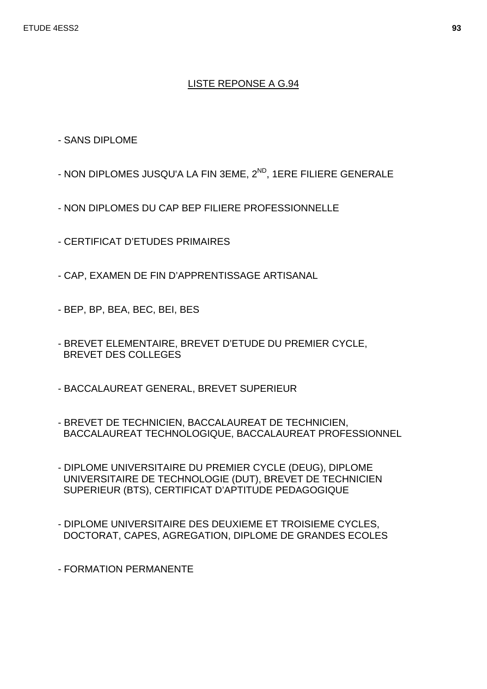- SANS DIPLOME

- NON DIPLOMES JUSQU'A LA FIN 3EME, 2<sup>ND</sup>, 1ERE FILIERE GENERALE
- NON DIPLOMES DU CAP BEP FILIERE PROFESSIONNELLE
- CERTIFICAT D'ETUDES PRIMAIRES
- CAP, EXAMEN DE FIN D'APPRENTISSAGE ARTISANAL
- BEP, BP, BEA, BEC, BEI, BES
- BREVET ELEMENTAIRE, BREVET D'ETUDE DU PREMIER CYCLE, BREVET DES COLLEGES
- BACCALAUREAT GENERAL, BREVET SUPERIEUR
- BREVET DE TECHNICIEN, BACCALAUREAT DE TECHNICIEN, BACCALAUREAT TECHNOLOGIQUE, BACCALAUREAT PROFESSIONNEL
- DIPLOME UNIVERSITAIRE DU PREMIER CYCLE (DEUG), DIPLOME UNIVERSITAIRE DE TECHNOLOGIE (DUT), BREVET DE TECHNICIEN SUPERIEUR (BTS), CERTIFICAT D'APTITUDE PEDAGOGIQUE
- DIPLOME UNIVERSITAIRE DES DEUXIEME ET TROISIEME CYCLES, DOCTORAT, CAPES, AGREGATION, DIPLOME DE GRANDES ECOLES
- FORMATION PERMANENTE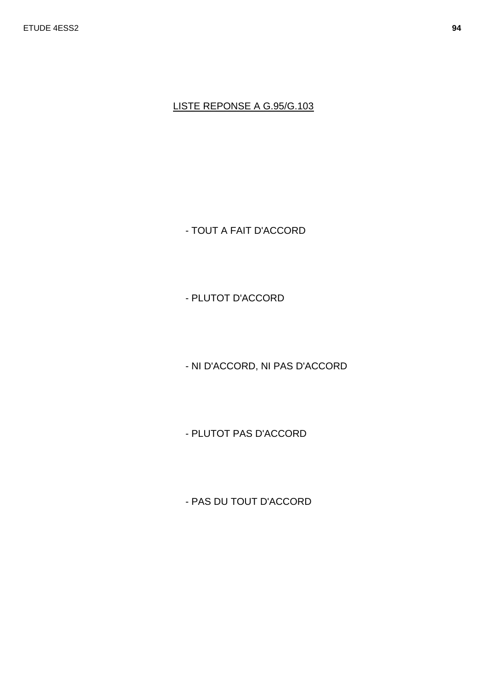LISTE REPONSE A G.95/G.103

- TOUT A FAIT D'ACCORD

- PLUTOT D'ACCORD

- NI D'ACCORD, NI PAS D'ACCORD

- PLUTOT PAS D'ACCORD

- PAS DU TOUT D'ACCORD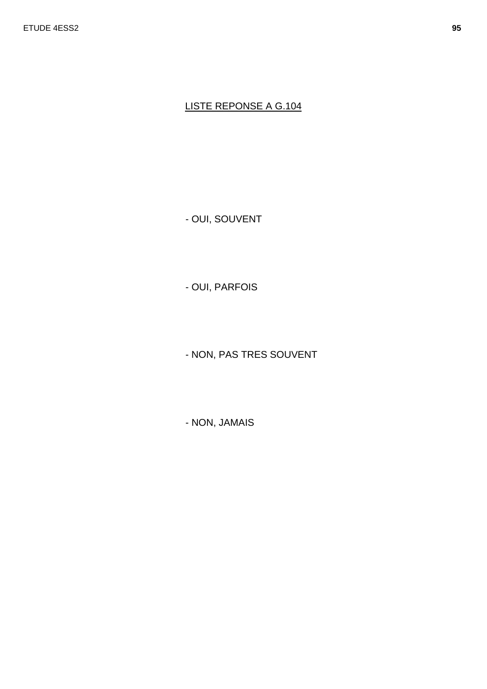- OUI, SOUVENT

- OUI, PARFOIS

- NON, PAS TRES SOUVENT

- NON, JAMAIS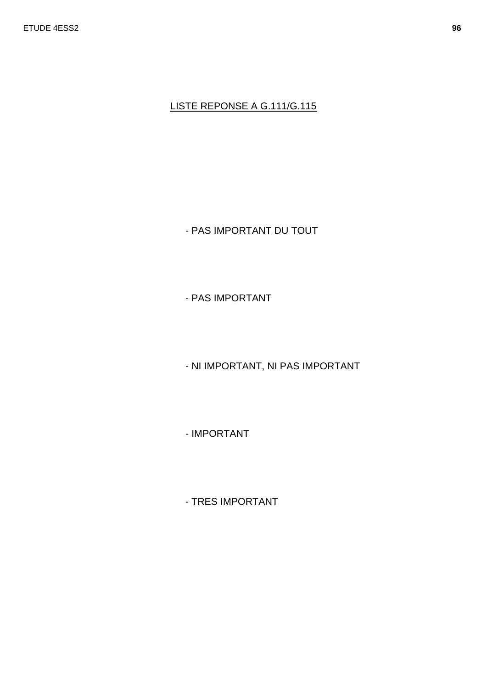LISTE REPONSE A G.111/G.115

- PAS IMPORTANT DU TOUT

- PAS IMPORTANT

- NI IMPORTANT, NI PAS IMPORTANT

- IMPORTANT

- TRES IMPORTANT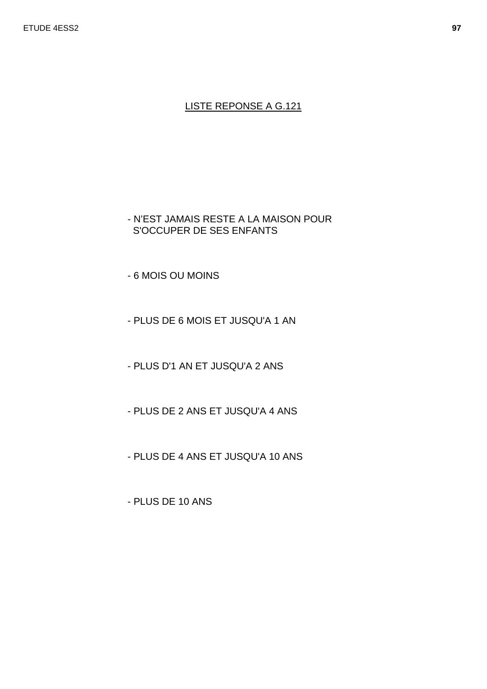#### - N'EST JAMAIS RESTE A LA MAISON POUR S'OCCUPER DE SES ENFANTS

- 6 MOIS OU MOINS

- PLUS DE 6 MOIS ET JUSQU'A 1 AN
- PLUS D'1 AN ET JUSQU'A 2 ANS
- PLUS DE 2 ANS ET JUSQU'A 4 ANS
- PLUS DE 4 ANS ET JUSQU'A 10 ANS
- PLUS DE 10 ANS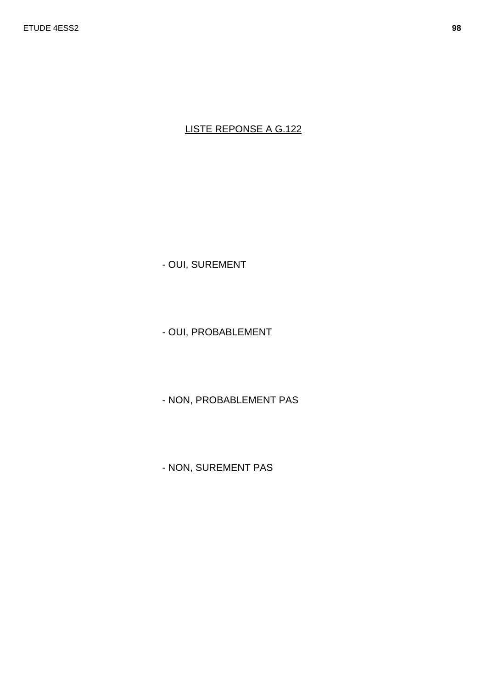- OUI, SUREMENT

- OUI, PROBABLEMENT

- NON, PROBABLEMENT PAS

- NON, SUREMENT PAS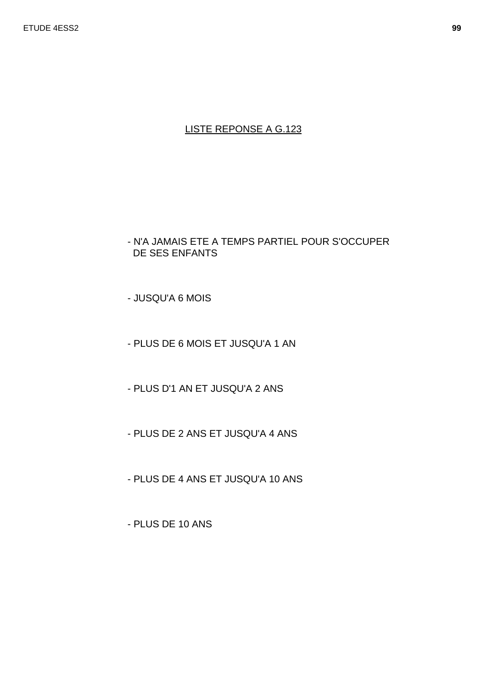### - N'A JAMAIS ETE A TEMPS PARTIEL POUR S'OCCUPER DE SES ENFANTS

- JUSQU'A 6 MOIS

- PLUS DE 6 MOIS ET JUSQU'A 1 AN

- PLUS D'1 AN ET JUSQU'A 2 ANS

- PLUS DE 2 ANS ET JUSQU'A 4 ANS

- PLUS DE 4 ANS ET JUSQU'A 10 ANS

- PLUS DE 10 ANS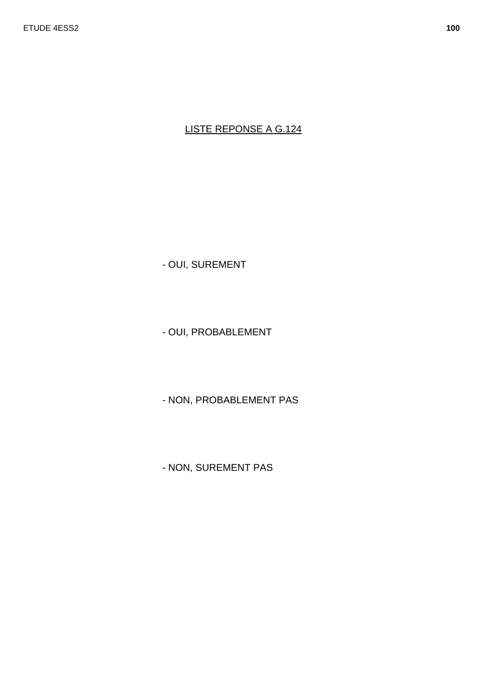- OUI, SUREMENT

- OUI, PROBABLEMENT

- NON, PROBABLEMENT PAS

- NON, SUREMENT PAS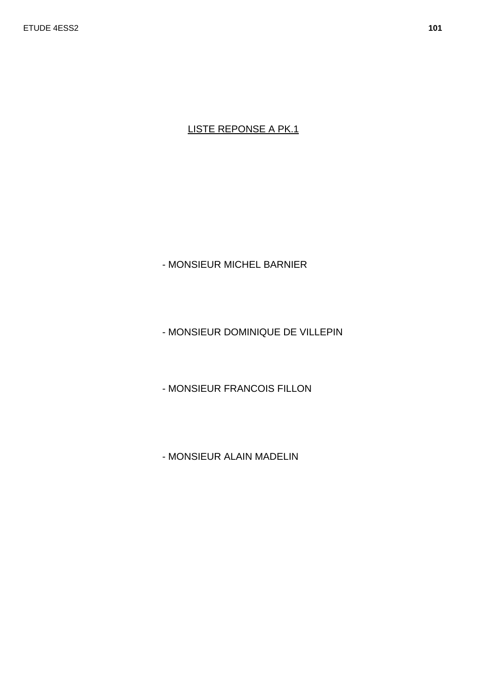- MONSIEUR MICHEL BARNIER

- MONSIEUR DOMINIQUE DE VILLEPIN

- MONSIEUR FRANCOIS FILLON

- MONSIEUR ALAIN MADELIN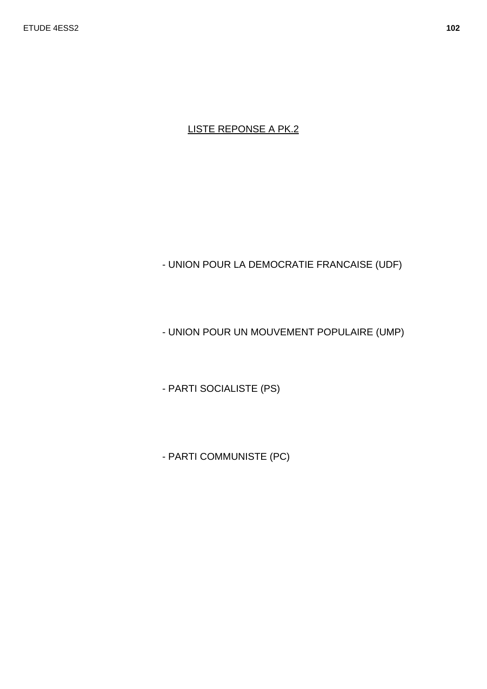# - UNION POUR LA DEMOCRATIE FRANCAISE (UDF)

- UNION POUR UN MOUVEMENT POPULAIRE (UMP)

- PARTI SOCIALISTE (PS)

- PARTI COMMUNISTE (PC)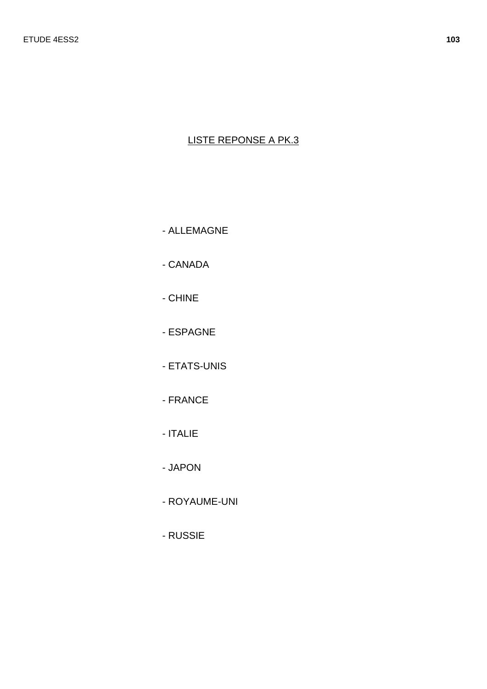- ALLEMAGNE
- CANADA
- CHINE
- ESPAGNE
- ETATS-UNIS
- FRANCE
- ITALIE
- JAPON
- ROYAUME-UNI
- RUSSIE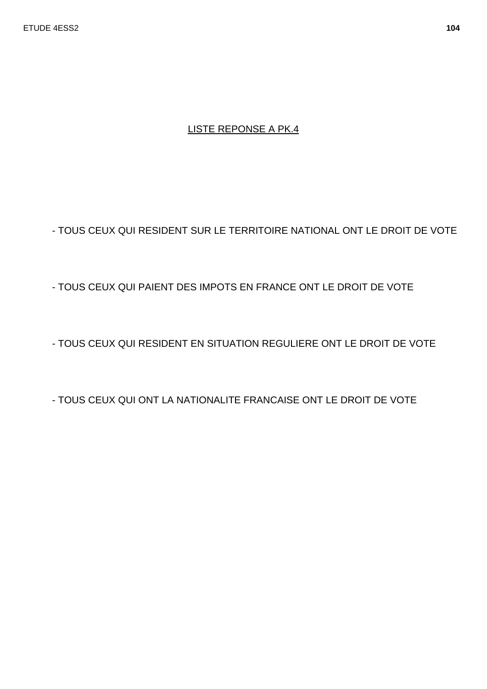- TOUS CEUX QUI RESIDENT SUR LE TERRITOIRE NATIONAL ONT LE DROIT DE VOTE

- TOUS CEUX QUI PAIENT DES IMPOTS EN FRANCE ONT LE DROIT DE VOTE

- TOUS CEUX QUI RESIDENT EN SITUATION REGULIERE ONT LE DROIT DE VOTE

- TOUS CEUX QUI ONT LA NATIONALITE FRANCAISE ONT LE DROIT DE VOTE